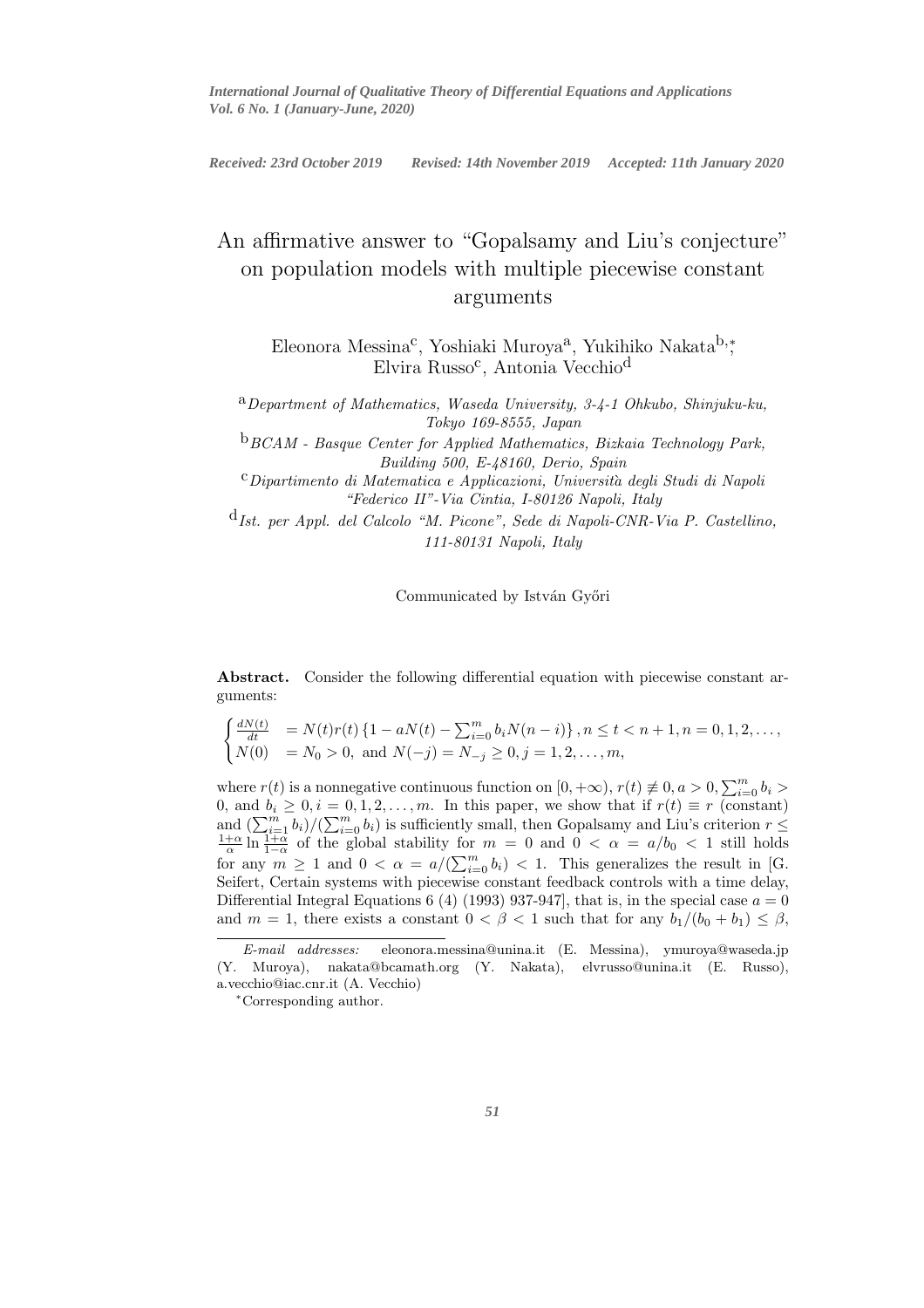*International Journal of Qualitative Theory of Differential Equations and Applications Vol. 6 No. 1 (January-June, 2020)*

International Journal of Qualitative Theory of Differential Equations and Applications *Received: 23rd October 2019 Revised: 14th November 2019 Accepted: 11th January 2020*

# An affirmative answer to "Gopalsamy and Liu's conjecture" on population models with multiple piecewise constant arguments

Eleonora Messina<sup>c</sup>, Yoshiaki Muroya<sup>a</sup>, Yukihiko Nakata<sup>b,</sup>\* Elvira Russo<sup>c</sup>, Antonia Vecchio<sup>d</sup>

a*Department of Mathematics, Waseda University, 3-4-1 Ohkubo, Shinjuku-ku, Tokyo 169-8555, Japan*

b*BCAM - Basque Center for Applied Mathematics, Bizkaia Technology Park, Building 500, E-48160, Derio, Spain*

c*Dipartimento di Matematica e Applicazioni, Universita degli Studi di Napoli* ` *"Federico II"-Via Cintia, I-80126 Napoli, Italy*

d*Ist. per Appl. del Calcolo "M. Picone", Sede di Napoli-CNR-Via P. Castellino, 111-80131 Napoli, Italy*

Communicated by István Győri

Abstract. Consider the following differential equation with piecewise constant arguments:

$$
\begin{cases}\n\frac{dN(t)}{dt} & = N(t)r(t) \left\{1 - aN(t) - \sum_{i=0}^{m} b_i N(n-i)\right\}, n \le t < n+1, n = 0, 1, 2, \dots, \\
N(0) & = N_0 > 0, \text{ and } N(-j) = N_{-j} \ge 0, j = 1, 2, \dots, m,\n\end{cases}
$$

where  $r(t)$  is a nonnegative continuous function on  $[0, +\infty)$ ,  $r(t) \neq 0$ ,  $a > 0$ ,  $\sum_{i=0}^{m} b_i >$ 0, and  $b_i \geq 0, i = 0, 1, 2, \ldots, m$ . In this paper, we show that if  $r(t) \equiv r$  (constant) and  $\left(\sum_{i=1}^m b_i\right)/\left(\sum_{i=0}^m b_i\right)$  is sufficiently small, then Gopalsamy and Liu's criterion  $r \leq \frac{1+\alpha}{\alpha} \ln \frac{1+\alpha}{1-\alpha}$  of the global stability for  $m = 0$  and  $0 < \alpha = a/b_0 < 1$  still holds for any  $m \ge 1$  and  $0 < \alpha = a/(\sum_{i=0}^{m} b_i) < 1$ . This generalizes the result in [G. Seifert, Certain systems with piecewise constant feedback controls with a time delay, Differential Integral Equations 6 (4) (1993) 937-947, that is, in the special case  $a = 0$ and  $m = 1$ , there exists a constant  $0 < \beta < 1$  such that for any  $b_1/(b_0 + b_1) \leq \beta$ ,

E-mail addresses: eleonora.messina@unina.it (E. Messina), ymuroya@waseda.jp (Y. Muroya), nakata@bcamath.org (Y. Nakata), elvrusso@unina.it (E. Russo), a.vecchio@iac.cnr.it (A. Vecchio)

<sup>∗</sup>Corresponding author.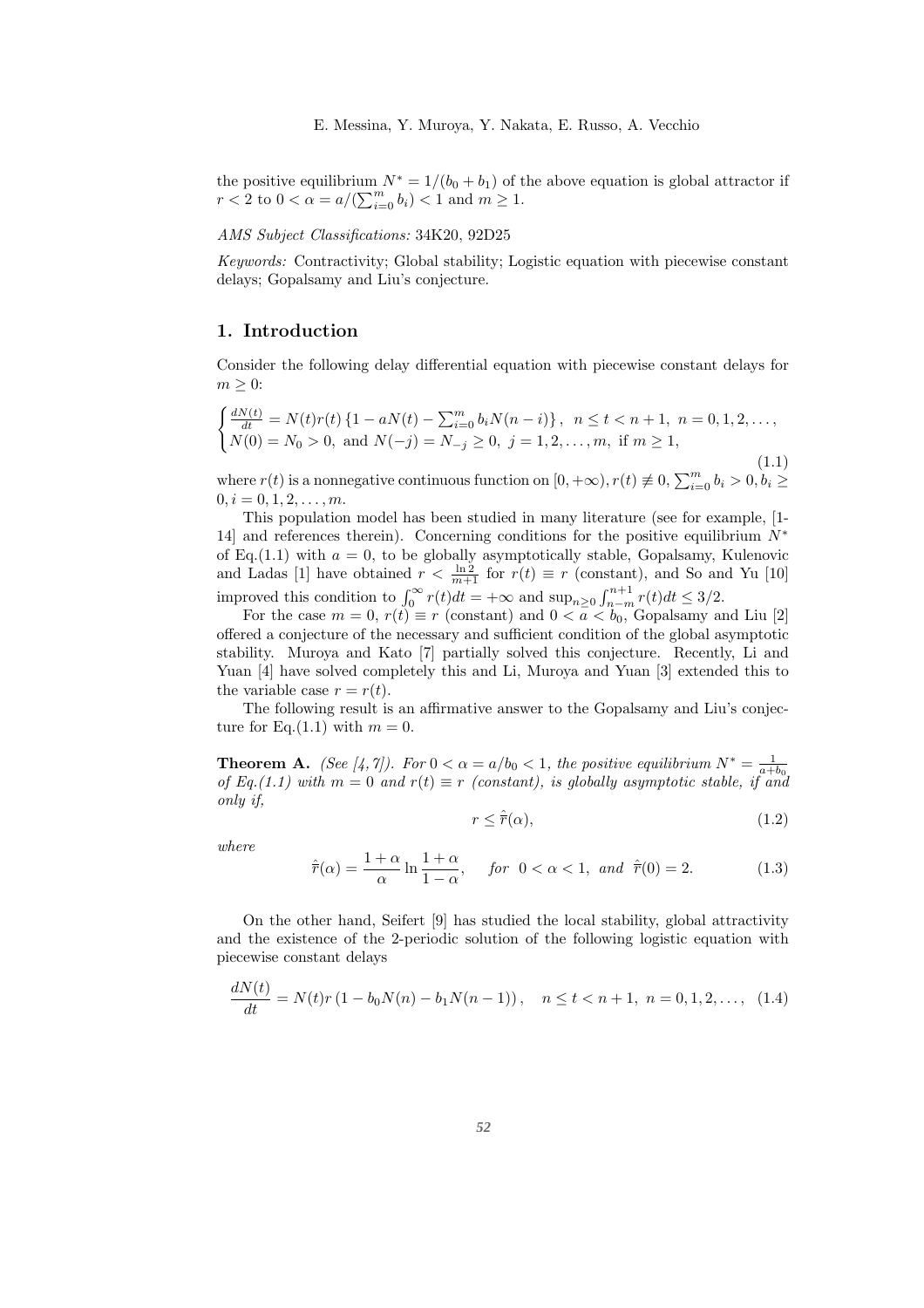the positive equilibrium  $N^* = 1/(b_0 + b_1)$  of the above equation is global attractor if  $r < 2$  to  $0 < \alpha = a/(\sum_{i=0}^{m} b_i) < 1$  and  $m \ge 1$ .

### *AMS Subject Classifications:* 34K20, 92D25

*Keywords:* Contractivity; Global stability; Logistic equation with piecewise constant delays; Gopalsamy and Liu's conjecture.

### 1. Introduction

Consider the following delay differential equation with piecewise constant delays for  $m \geq 0$ :

$$
\begin{cases}\n\frac{dN(t)}{dt} = N(t)r(t) \{1 - aN(t) - \sum_{i=0}^{m} b_i N(n-i)\}, & n \le t < n+1, n = 0, 1, 2, \dots, \\
N(0) = N_0 > 0, & \text{and } N(-j) = N_{-j} \ge 0, j = 1, 2, \dots, m, \text{ if } m \ge 1,\n\end{cases}
$$
\n(1.1)

where  $r(t)$  is a nonnegative continuous function on  $[0, +\infty)$ ,  $r(t) \neq 0$ ,  $\sum_{i=0}^{m} b_i > 0$ ,  $b_i \geq$  $0, i = 0, 1, 2, \ldots, m.$ 

This population model has been studied in many literature (see for example, [1- 14] and references therein). Concerning conditions for the positive equilibrium  $N^*$ of Eq.(1.1) with  $a = 0$ , to be globally asymptotically stable, Gopalsamy, Kulenovic and Ladas [1] have obtained  $r < \frac{\ln 2}{m+1}$  for  $r(t) \equiv r$  (constant), and So and Yu [10] improved this condition to  $\int_0^\infty r(t)dt = +\infty$  and  $\sup_{n\geq 0} \int_{n-m}^{n+1} r(t)dt \leq 3/2$ .

For the case  $m = 0$ ,  $r(t) \equiv r$  (constant) and  $0 < a < b_0$ , Gopalsamy and Liu [2] offered a conjecture of the necessary and sufficient condition of the global asymptotic stability. Muroya and Kato [7] partially solved this conjecture. Recently, Li and Yuan [4] have solved completely this and Li, Muroya and Yuan [3] extended this to the variable case  $r = r(t)$ .

The following result is an affirmative answer to the Gopalsamy and Liu's conjecture for Eq.(1.1) with  $m = 0$ .

**Theorem A.** *(See [4,7]).* For  $0 < \alpha = a/b_0 < 1$ , the positive equilibrium  $N^* = \frac{1}{a+b_0}$ *of Eq.*(1.1) with  $m = 0$  and  $r(t) \equiv r$  (constant), is globally asymptotic stable, if and *only if,*

$$
r \le \hat{\overline{r}}(\alpha),\tag{1.2}
$$

*where*

$$
\hat{\overline{r}}(\alpha) = \frac{1+\alpha}{\alpha} \ln \frac{1+\alpha}{1-\alpha}, \quad \text{for } 0 < \alpha < 1, \text{ and } \hat{\overline{r}}(0) = 2.
$$
 (1.3)

On the other hand, Seifert [9] has studied the local stability, global attractivity and the existence of the 2-periodic solution of the following logistic equation with piecewise constant delays

$$
\frac{dN(t)}{dt} = N(t)r(1 - b_0N(n) - b_1N(n-1)), \quad n \le t < n+1, \ n = 0, 1, 2, \dots, \tag{1.4}
$$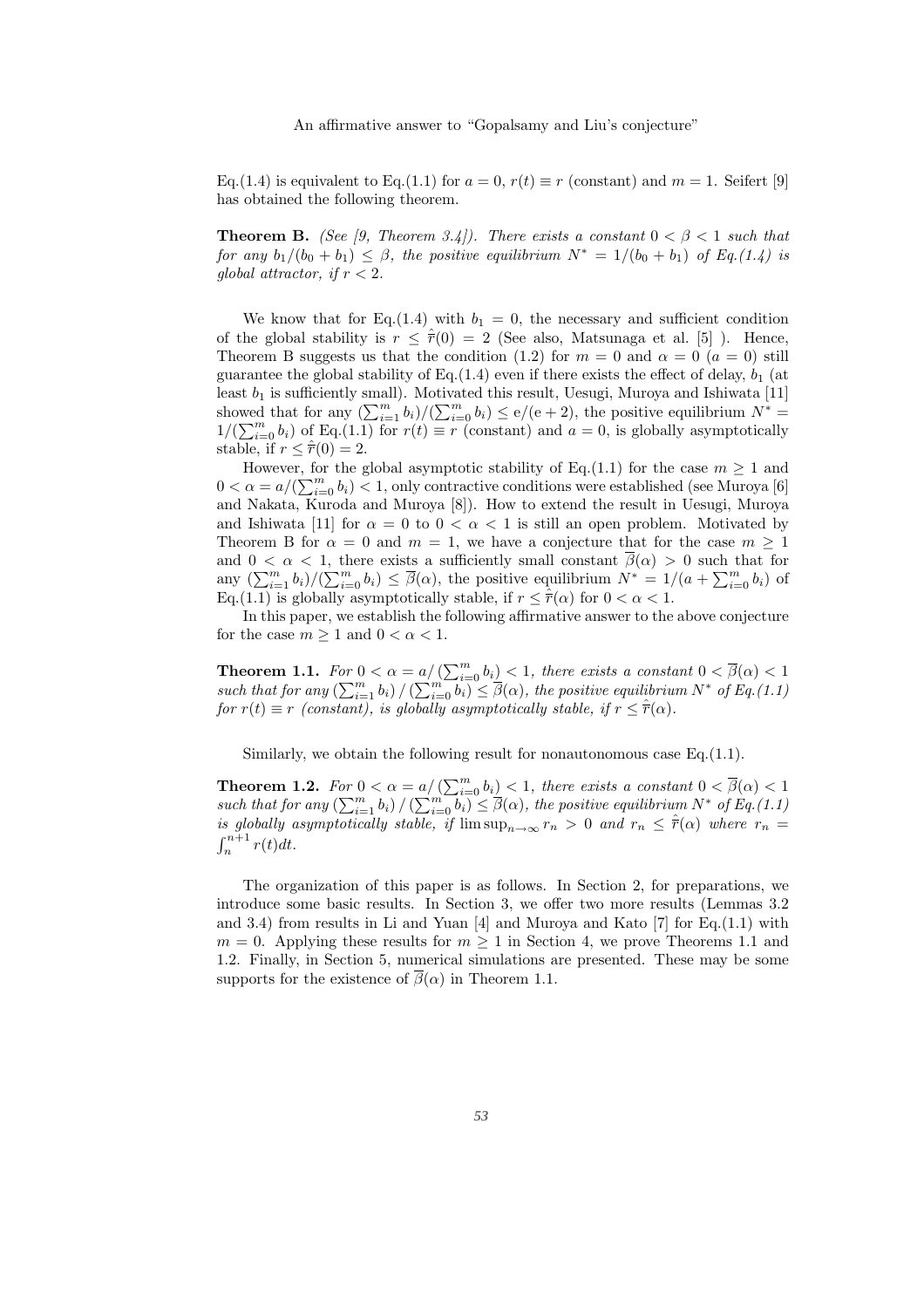Eq.(1.4) is equivalent to Eq.(1.1) for  $a = 0$ ,  $r(t) \equiv r$  (constant) and  $m = 1$ . Seifert [9] has obtained the following theorem.

**Theorem B.** *(See [9, Theorem 3.4]). There exists a constant*  $0 < \beta < 1$  *such that for any*  $b_1/(b_0 + b_1) \leq \beta$ , the positive equilibrium  $N^* = 1/(b_0 + b_1)$  of Eq.(1.4) is *global attractor, if*  $r < 2$ *.* 

We know that for Eq.(1.4) with  $b_1 = 0$ , the necessary and sufficient condition of the global stability is  $r < \hat{r}(0) = 2$  (See also, Matsunaga et al. [5]). Hence, Theorem B suggests us that the condition (1.2) for  $m = 0$  and  $\alpha = 0$  ( $a = 0$ ) still guarantee the global stability of Eq.(1.4) even if there exists the effect of delay,  $b_1$  (at least  $b_1$  is sufficiently small). Motivated this result, Uesugi, Muroya and Ishiwata [11] showed that for any  $\left(\sum_{i=1}^m b_i\right)/\left(\sum_{i=0}^m b_i\right) \leq e/(e+2)$ , the positive equilibrium  $N^* =$  $1/(\sum_{i=0}^{m} b_i)$  of Eq.(1.1) for  $r(t) \equiv r$  (constant) and  $a = 0$ , is globally asymptotically stable, if  $r \leq \hat{r}(0) = 2$ .

However, for the global asymptotic stability of Eq.(1.1) for the case  $m \ge 1$  and  $0 < \alpha = a/(\sum_{i=0}^{m} b_i) < 1$ , only contractive conditions were established (see Muroya [6] and Nakata, Kuroda and Muroya [8]). How to extend the result in Uesugi, Muroya and Ishiwata [11] for  $\alpha = 0$  to  $0 < \alpha < 1$  is still an open problem. Motivated by Theorem B for  $\alpha = 0$  and  $m = 1$ , we have a conjecture that for the case  $m \ge 1$ and  $0 < \alpha < 1$ , there exists a sufficiently small constant  $\beta(\alpha) > 0$  such that for any  $\left(\sum_{i=1}^m b_i\right)/\left(\sum_{i=0}^m b_i\right) \leq \overline{\beta}(\alpha)$ , the positive equilibrium  $N^* = 1/(a + \sum_{i=0}^m b_i)$  of Eq.(1.1) is globally asymptotically stable, if  $r \leq \hat{r}(\alpha)$  for  $0 < \alpha < 1$ .

In this paper, we establish the following affirmative answer to the above conjecture for the case  $m \geq 1$  and  $0 < \alpha < 1$ .

**Theorem 1.1.** *For*  $0 < \alpha = a / (\sum_{i=0}^{m} b_i) < 1$ , *there exists a constant*  $0 < \overline{\beta}(\alpha) < 1$ such that for any  $\left(\sum_{i=1}^m b_i\right) / \left(\sum_{i=0}^m b_i\right) \leq \beta(\alpha)$ , the positive equilibrium  $N^*$  of Eq.(1.1) *for*  $r(t) \equiv r$  *(constant), is globally asymptotically stable, if*  $r \leq \hat{r}(\alpha)$ *.* 

Similarly, we obtain the following result for nonautonomous case Eq.(1.1).

**Theorem 1.2.** *For*  $0 < \alpha = a/(\sum_{i=0}^{m} b_i) < 1$ , *there exists a constant*  $0 < \overline{\beta}(\alpha) < 1$ such that for any  $\left(\sum_{i=1}^m b_i\right) / \left(\sum_{i=0}^m b_i\right) \leq \overline{\beta}(\alpha)$ , the positive equilibrium  $N^*$  of Eq.(1.1) *is globally asymptotically stable, if*  $\limsup_{n\to\infty} r_n > 0$  *and*  $r_n \leq \hat{r}(\alpha)$  *where*  $r_n =$  $\int_{n}^{n+1} r(t) dt$ .

The organization of this paper is as follows. In Section 2, for preparations, we introduce some basic results. In Section 3, we offer two more results (Lemmas 3.2 and 3.4) from results in Li and Yuan  $[4]$  and Muroya and Kato  $[7]$  for Eq.(1.1) with  $m = 0$ . Applying these results for  $m \ge 1$  in Section 4, we prove Theorems 1.1 and 1.2. Finally, in Section 5, numerical simulations are presented. These may be some supports for the existence of  $\overline{\beta}(\alpha)$  in Theorem 1.1.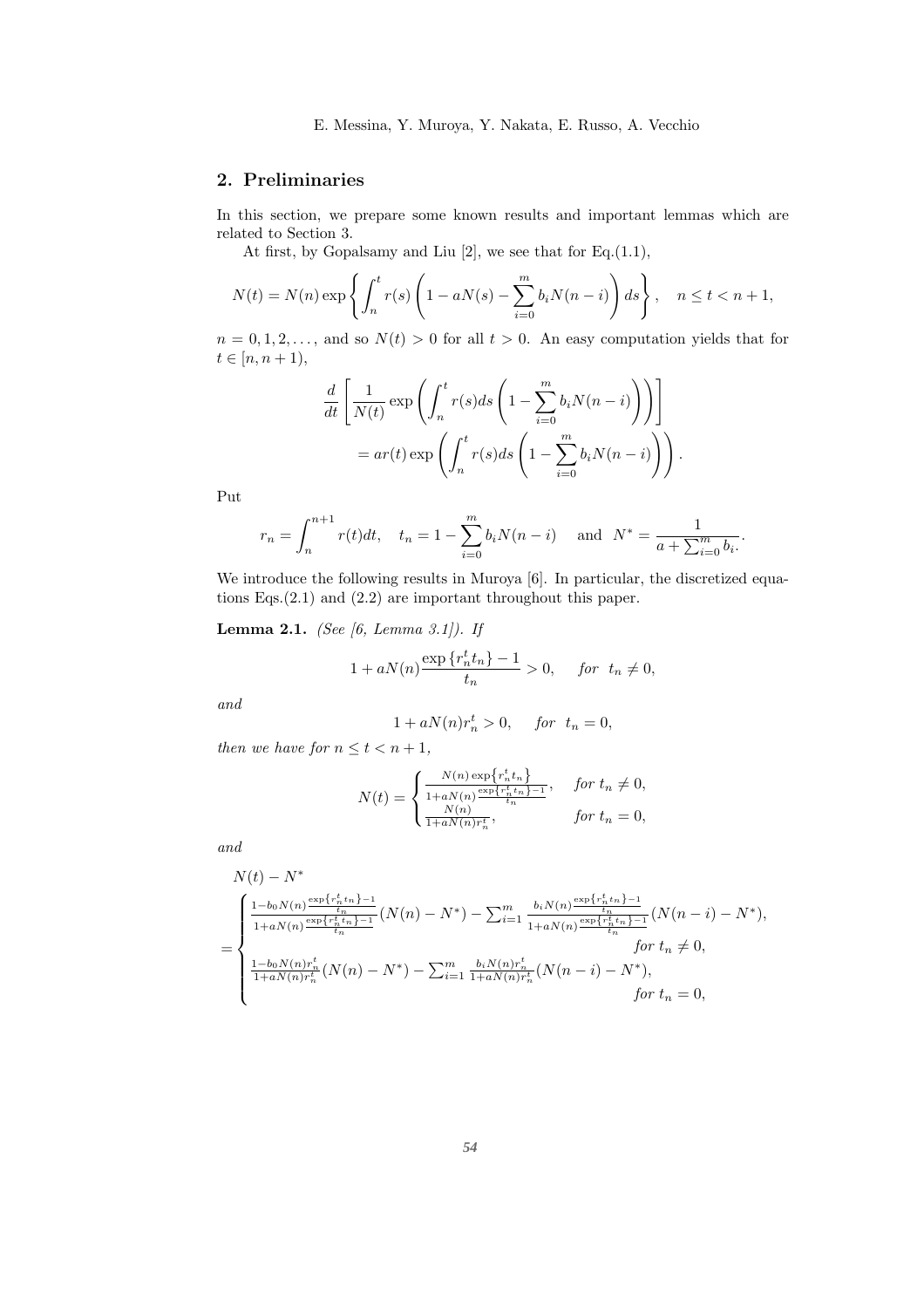4 E. Messina, Y. Muroya, Y. Nakata, E. Russo, A. Vecchio

## 2. Preliminaries

In this section, we prepare some known results and important lemmas which are related to Section 3.

At first, by Gopalsamy and Liu  $[2]$ , we see that for Eq. $(1.1)$ ,

$$
N(t) = N(n) \exp\left\{ \int_n^t r(s) \left( 1 - aN(s) - \sum_{i=0}^m b_i N(n-i) \right) ds \right\}, \quad n \le t < n+1,
$$

 $n = 0, 1, 2, \ldots$ , and so  $N(t) > 0$  for all  $t > 0$ . An easy computation yields that for  $t \in [n, n + 1),$ 

$$
\frac{d}{dt} \left[ \frac{1}{N(t)} \exp \left( \int_n^t r(s) ds \left( 1 - \sum_{i=0}^m b_i N(n-i) \right) \right) \right]
$$
  
= ar(t) exp  $\left( \int_n^t r(s) ds \left( 1 - \sum_{i=0}^m b_i N(n-i) \right) \right)$ .

Put

$$
r_n = \int_n^{n+1} r(t)dt
$$
,  $t_n = 1 - \sum_{i=0}^m b_i N(n-i)$  and  $N^* = \frac{1}{a + \sum_{i=0}^m b_i}$ .

We introduce the following results in Muroya [6]. In particular, the discretized equations Eqs.(2.1) and (2.2) are important throughout this paper.

Lemma 2.1. *(See [6, Lemma 3.1]). If*

$$
1 + aN(n)\frac{\exp\{r_n^t t_n\} - 1}{t_n} > 0, \quad \text{for } t_n \neq 0,
$$

*and*

$$
1 + aN(n)r_n^t > 0, \quad for \ t_n = 0,
$$

*then we have for*  $n \le t < n+1$ *,* 

$$
N(t) = \begin{cases} \frac{N(n) \exp\{r_n^t t_n\}}{1 + aN(n) \frac{\exp\{r_n^t t_n\} - 1}{t_n}}, & \text{for } t_n \neq 0, \\ \frac{N(n)}{1 + aN(n)r_n^t}, & \text{for } t_n = 0, \end{cases}
$$

*and*

$$
N(t) - N^*
$$
\n
$$
= \begin{cases}\n\frac{1 - b_0 N(n) \frac{\exp\{r_n^t t_n\} - 1}{t_n}}{1 + aN(n) \frac{\exp\{r_n^t t_n\} - 1}{t_n}} (N(n) - N^*) - \sum_{i=1}^m \frac{b_i N(n) \frac{\exp\{r_n^t t_n\} - 1}{t_n}}{1 + aN(n) \frac{\exp\{r_n^t t_n\} - 1}{t_n}} (N(n - i) - N^*),\\n \frac{1 - b_0 N(n) r_n^t}{1 + aN(n) r_n^t} (N(n) - N^*) - \sum_{i=1}^m \frac{b_i N(n) r_n^t}{1 + aN(n) r_n^t} (N(n - i) - N^*),\\n \text{for } t_n \neq 0,\\n \text{for } t_n = 0,\n\end{cases}
$$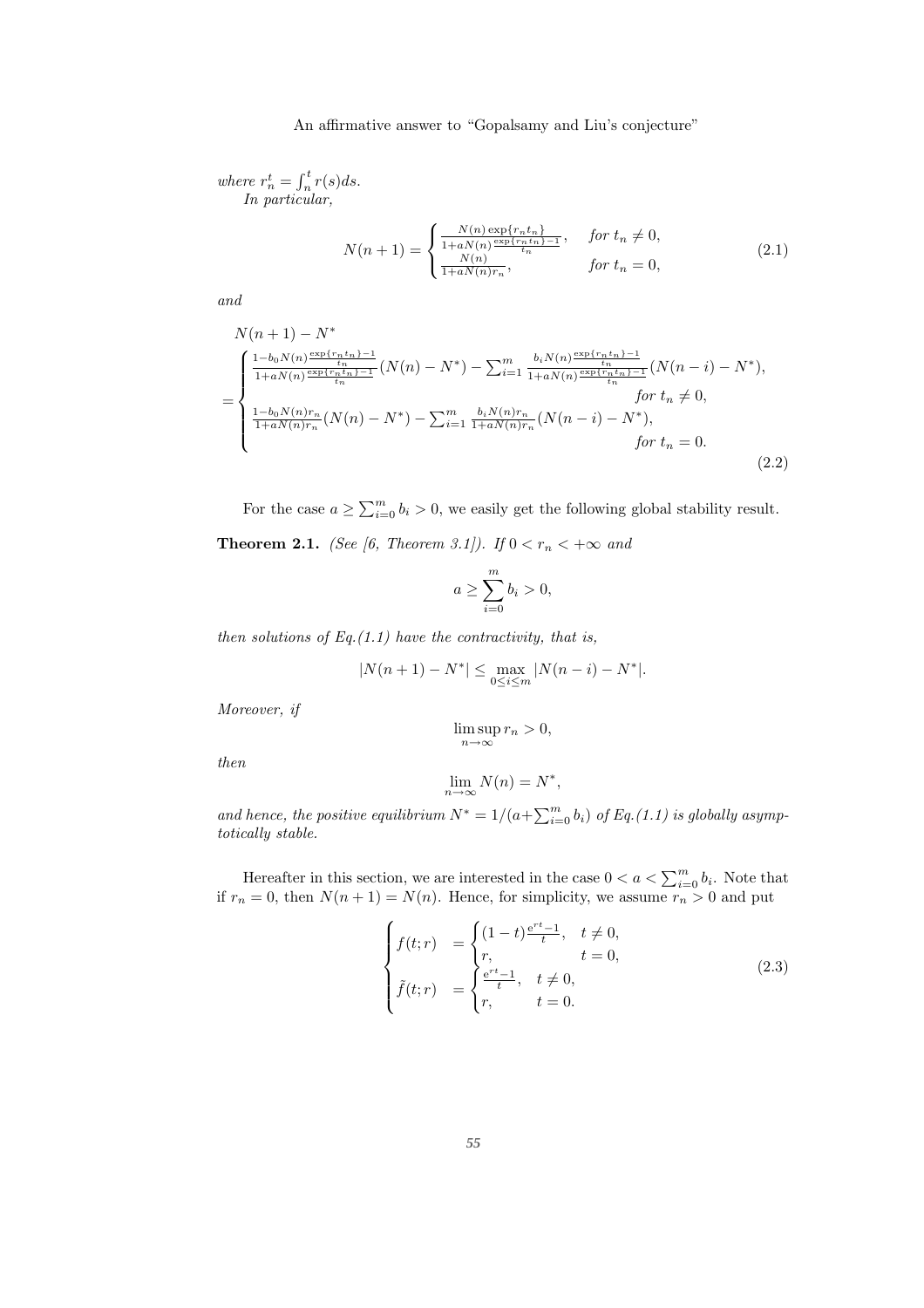where  $r_n^t = \int_n^t r(s)ds$ . *In particular,*

$$
N(n+1) = \begin{cases} \frac{N(n) \exp\{r_n t_n\}}{1 + aN(n) \frac{\exp\{r_n t_n\} - 1}{t_n}}, & \text{for } t_n \neq 0, \\ \frac{N(n)}{1 + aN(n)r_n}, & \text{for } t_n = 0, \end{cases}
$$
(2.1)

*and*

$$
N(n+1) - N^*
$$
\n
$$
= \begin{cases}\n\frac{1 - b_0 N(n) \frac{\exp\{r_n t_n\} - 1}{t_n}}{1 + aN(n) \frac{\exp\{r_n t_n\} - 1}{t_n}} (N(n) - N^*) - \sum_{i=1}^m \frac{b_i N(n) \frac{\exp\{r_n t_n\} - 1}{t_n}}{1 + aN(n) \frac{\exp\{r_n t_n\} - 1}{t_n}} (N(n-i) - N^*), & \text{for } t_n \neq 0, \\
\frac{1 - b_0 N(n) r_n}{1 + aN(n) r_n} (N(n) - N^*) - \sum_{i=1}^m \frac{b_i N(n) r_n}{1 + aN(n) r_n} (N(n-i) - N^*), & \text{for } t_n = 0.\n\end{cases}
$$
\n(2.2)

For the case  $a \ge \sum_{i=0}^{m} b_i > 0$ , we easily get the following global stability result.

**Theorem 2.1.** *(See [6, Theorem 3.1]). If*  $0 < r_n < +\infty$  *and* 

$$
a \ge \sum_{i=0}^{m} b_i > 0,
$$

*then solutions of Eq.(1.1) have the contractivity, that is,*

$$
|N(n+1) - N^*| \le \max_{0 \le i \le m} |N(n-i) - N^*|.
$$

*Moreover, if*

*then*

$$
\lim_{n \to \infty} N(n) = N^*,
$$

 $\limsup_{n\to\infty}r_n>0,$ 

and hence, the positive equilibrium  $N^* = 1/(a + \sum_{i=0}^m b_i)$  of Eq.(1.1) is globally asymp*totically stable.*

Hereafter in this section, we are interested in the case  $0 < a < \sum_{i=0}^{m} b_i$ . Note that if  $r_n = 0$ , then  $N(n + 1) = N(n)$ . Hence, for simplicity, we assume  $r_n > 0$  and put

$$
\begin{cases}\nf(t;r) &= \begin{cases}\n(1-t)\frac{e^{rt}-1}{t}, & t \neq 0, \\
r, & t = 0,\n\end{cases} \\
\tilde{f}(t;r) &= \begin{cases}\n\frac{e^{rt}-1}{t}, & t \neq 0, \\
r, & t = 0.\n\end{cases}\n\end{cases}
$$
\n(2.3)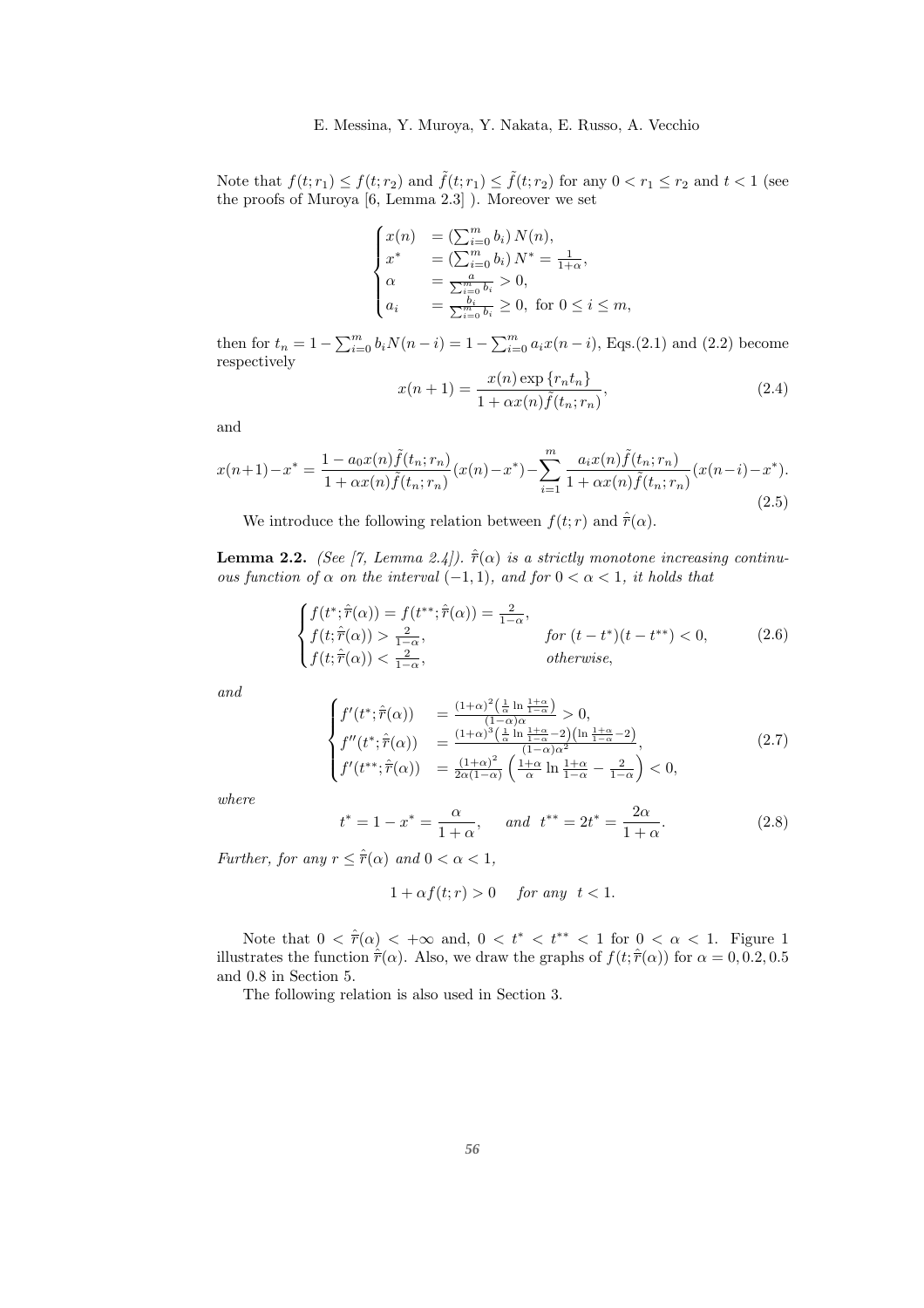Note that  $f(t; r_1) \leq f(t; r_2)$  and  $\tilde{f}(t; r_1) \leq \tilde{f}(t; r_2)$  for any  $0 < r_1 \leq r_2$  and  $t < 1$  (see the proofs of Muroya [6, Lemma 2.3] ). Moreover we set

$$
\begin{cases}\nx(n) &= \left(\sum_{i=0}^m b_i\right) N(n), \\
x^* &= \left(\sum_{i=0}^m b_i\right) N^* = \frac{1}{1+\alpha}, \\
\alpha &= \frac{a}{\sum_{i=0}^m b_i} > 0, \\
a_i &= \frac{b_i}{\sum_{i=0}^m b_i} \ge 0, \text{ for } 0 \le i \le m,\n\end{cases}
$$

then for  $t_n = 1 - \sum_{i=0}^{m} b_i N(n-i) = 1 - \sum_{i=0}^{m} a_i x(n-i)$ , Eqs.(2.1) and (2.2) become respectively

$$
x(n+1) = \frac{x(n) \exp \{r_n t_n\}}{1 + \alpha x(n) \tilde{f}(t_n; r_n)},
$$
\n(2.4)

and

$$
x(n+1) - x^* = \frac{1 - a_0 x(n) \tilde{f}(t_n; r_n)}{1 + \alpha x(n) \tilde{f}(t_n; r_n)} (x(n) - x^*) - \sum_{i=1}^m \frac{a_i x(n) \tilde{f}(t_n; r_n)}{1 + \alpha x(n) \tilde{f}(t_n; r_n)} (x(n-i) - x^*).
$$
\n(2.5)

We introduce the following relation between  $f(t; r)$  and  $\hat{r}(\alpha)$ .

**Lemma 2.2.** *(See [7, Lemma 2.4]).*  $\hat{\vec{r}}(\alpha)$  *is a strictly monotone increasing continuous function of*  $\alpha$  *on the interval* (−1, 1)*, and for*  $0 < \alpha < 1$ *, it holds that* 

$$
\begin{cases}\nf(t^*; \hat{\overline{r}}(\alpha)) = f(t^{**}; \hat{\overline{r}}(\alpha)) = \frac{2}{1-\alpha}, \\
f(t; \hat{\overline{r}}(\alpha)) > \frac{2}{1-\alpha}, \\
f(t; \hat{\overline{r}}(\alpha)) < \frac{2}{1-\alpha}, \\
\text{otherwise,} \n\end{cases}\n\quad \text{for } (t - t^*)(t - t^{**}) < 0,
$$
\n
$$
(2.6)
$$

*and*

$$
\begin{cases}\nf'(t^*; \hat{\overline{r}}(\alpha)) &= \frac{(1+\alpha)^2 \left(\frac{1}{\alpha} \ln \frac{1+\alpha}{1-\alpha}\right)}{(1-\alpha)\alpha} > 0, \\
f''(t^*; \hat{\overline{r}}(\alpha)) &= \frac{(1+\alpha)^3 \left(\frac{1}{\alpha} \ln \frac{1+\alpha}{1-\alpha} - 2\right) \left(\ln \frac{1+\alpha}{1-\alpha} - 2\right)}{(1-\alpha)\alpha^2}, \\
f'(t^{**}; \hat{\overline{r}}(\alpha)) &= \frac{(1+\alpha)^2}{2\alpha(1-\alpha)} \left(\frac{1+\alpha}{\alpha} \ln \frac{1+\alpha}{1-\alpha} - \frac{2}{1-\alpha}\right) < 0,\n\end{cases}
$$
\n(2.7)

*where*

$$
t^* = 1 - x^* = \frac{\alpha}{1 + \alpha}
$$
, and  $t^{**} = 2t^* = \frac{2\alpha}{1 + \alpha}$ . (2.8)

*Further, for any*  $r \leq \hat{\overline{r}}(\alpha)$  *and*  $0 < \alpha < 1$ *,* 

$$
1 + \alpha f(t; r) > 0 \quad \text{for any } t < 1.
$$

Note that  $0 < \hat{r}(\alpha) < +\infty$  and,  $0 < t^* < t^{**} < 1$  for  $0 < \alpha < 1$ . Figure 1 illustrates the function  $\hat{r}(\alpha)$ . Also, we draw the graphs of  $f(t; \hat{r}(\alpha))$  for  $\alpha = 0, 0.2, 0.5$ and 0.8 in Section 5.

The following relation is also used in Section 3.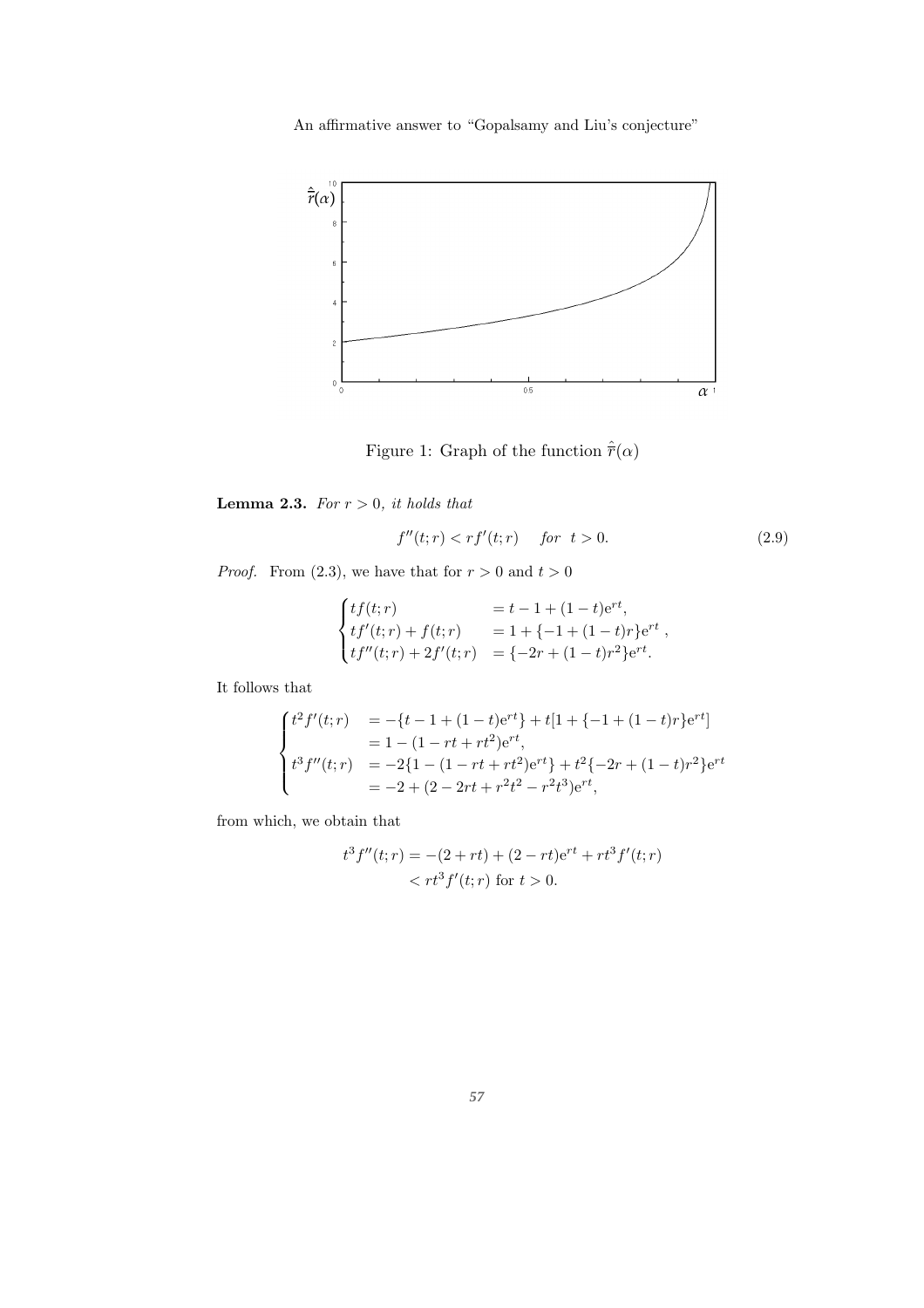

Figure 1: Graph of the function  $\hat{\vec{r}}(\alpha)$ 

**Lemma 2.3.** *For*  $r > 0$ *, it holds that* 

$$
f''(t;r) < rf'(t;r) \quad \text{for } t > 0. \tag{2.9}
$$

*Proof.* From (2.3), we have that for  $r > 0$  and  $t > 0$ 

$$
\begin{cases}\ntf(t;r) & = t - 1 + (1 - t)e^{rt}, \\
tf'(t;r) + f(t;r) & = 1 + \{-1 + (1 - t)r\}e^{rt}, \\
tf''(t;r) + 2f'(t;r) & = \{-2r + (1 - t)r^2\}e^{rt}.\n\end{cases}
$$

It follows that

$$
\begin{cases}\nt^2 f'(t; r) &= -\{t - 1 + (1 - t)e^{rt}\} + t[1 + \{-1 + (1 - t)r\}e^{rt}] \\
&= 1 - (1 - rt + rt^2)e^{rt}, \\
t^3 f''(t; r) &= -2\{1 - (1 - rt + rt^2)e^{rt}\} + t^2\{-2r + (1 - t)r^2\}e^{rt} \\
&= -2 + (2 - 2rt + r^2t^2 - r^2t^3)e^{rt},\n\end{cases}
$$

from which, we obtain that

$$
t3 f''(t; r) = -(2 + rt) + (2 - rt)ert + rt3 f'(t; r)
$$
  
< t<sup>3</sup> f'(t; r) for t > 0.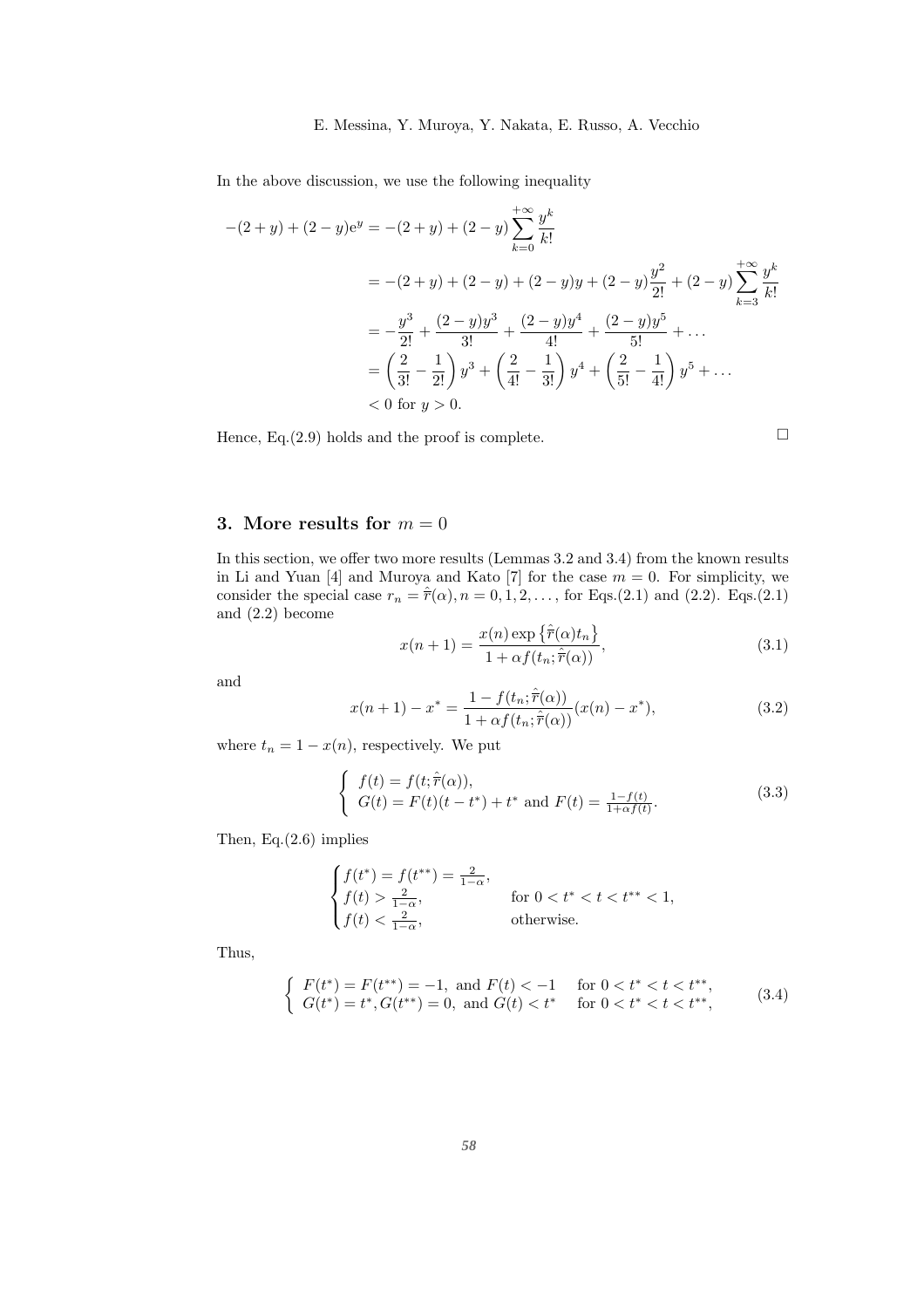#### 8 E. Messina, Y. Muroya, Y. Nakata, E. Russo, A. Vecchio

In the above discussion, we use the following inequality

$$
-(2+y) + (2-y)ey = -(2+y) + (2-y)\sum_{k=0}^{+\infty} \frac{y^k}{k!}
$$
  
= -(2+y) + (2-y) + (2-y)y + (2-y)\frac{y^2}{2!} + (2-y)\sum\_{k=3}^{+\infty} \frac{y^k}{k!}  
= -\frac{y^3}{2!} + \frac{(2-y)y^3}{3!} + \frac{(2-y)y^4}{4!} + \frac{(2-y)y^5}{5!} + ...  
= \left(\frac{2}{3!} - \frac{1}{2!}\right)y^3 + \left(\frac{2}{4!} - \frac{1}{3!}\right)y^4 + \left(\frac{2}{5!} - \frac{1}{4!}\right)y^5 + ...  
< 0 \text{ for } y > 0.

Hence,  $Eq.(2.9)$  holds and the proof is complete.

$$
\Box
$$

# 3. More results for  $m = 0$

In this section, we offer two more results (Lemmas 3.2 and 3.4) from the known results in Li and Yuan [4] and Muroya and Kato [7] for the case  $m = 0$ . For simplicity, we consider the special case  $r_n = \hat{r}(\alpha)$ ,  $n = 0, 1, 2, \ldots$ , for Eqs.(2.1) and (2.2). Eqs.(2.1) and (2.2) become

$$
x(n+1) = \frac{x(n) \exp\left\{\hat{r}(\alpha)t_n\right\}}{1 + \alpha f(t_n; \hat{r}(\alpha))},
$$
\n(3.1)

and

$$
x(n+1) - x^* = \frac{1 - f(t_n; \hat{\overline{r}}(\alpha))}{1 + \alpha f(t_n; \hat{\overline{r}}(\alpha))} (x(n) - x^*),
$$
\n(3.2)

where  $t_n = 1 - x(n)$ , respectively. We put

$$
\begin{cases} f(t) = f(t; \hat{\overline{r}}(\alpha)), \\ G(t) = F(t)(t - t^*) + t^* \text{ and } F(t) = \frac{1 - f(t)}{1 + \alpha f(t)}. \end{cases}
$$
 (3.3)

Then, Eq.(2.6) implies

$$
\begin{cases} f(t^*) = f(t^{**}) = \frac{2}{1-\alpha}, \\ f(t) > \frac{2}{1-\alpha}, \\ f(t) < \frac{2}{1-\alpha}, \end{cases}
$$
 for  $0 < t^* < t < t^{**} < 1$ ,  
otherwise.

Thus,

$$
\begin{cases}\nF(t^*) = F(t^{**}) = -1, \text{ and } F(t) < -1 \\
G(t^*) = t^*, G(t^{**}) = 0, \text{ and } G(t) < t^* \quad \text{for } 0 < t^* < t < t^{**},\n\end{cases}\n\tag{3.4}
$$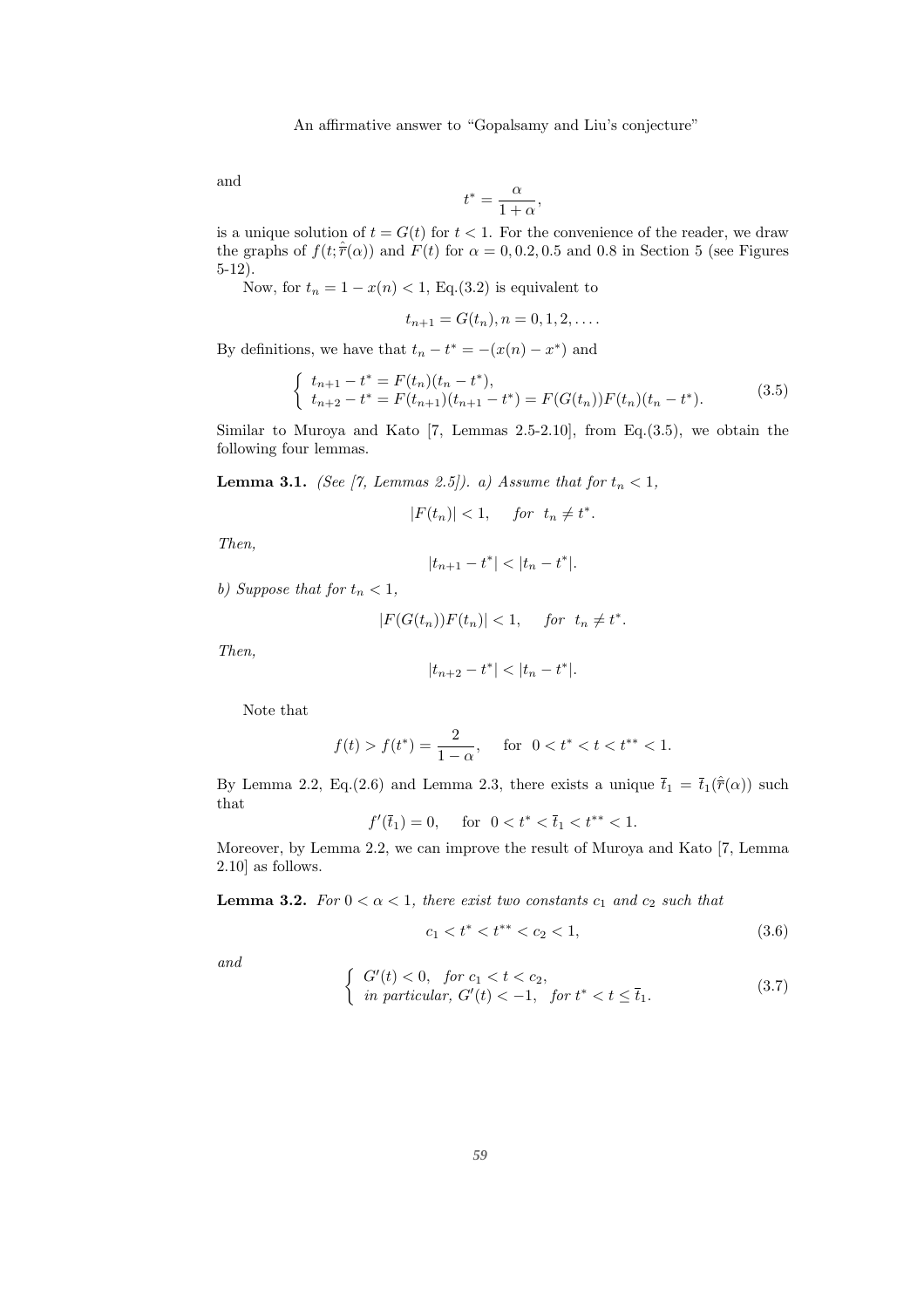and

$$
t^*=\frac{\alpha}{1+\alpha},
$$

is a unique solution of  $t = G(t)$  for  $t < 1$ . For the convenience of the reader, we draw the graphs of  $f(t; \hat{r}(\alpha))$  and  $F(t)$  for  $\alpha = 0, 0.2, 0.5$  and 0.8 in Section 5 (see Figures 5-12).

Now, for  $t_n = 1 - x(n) < 1$ , Eq.(3.2) is equivalent to

$$
t_{n+1} = G(t_n), n = 0, 1, 2, \dots
$$

By definitions, we have that  $t_n - t^* = -(x(n) - x^*)$  and

$$
\begin{cases}\n t_{n+1} - t^* = F(t_n)(t_n - t^*), \\
 t_{n+2} - t^* = F(t_{n+1})(t_{n+1} - t^*) = F(G(t_n))F(t_n)(t_n - t^*).\n\end{cases} \tag{3.5}
$$

Similar to Muroya and Kato  $[7, \text{ Lemmas } 2.5-2.10]$ , from Eq.(3.5), we obtain the following four lemmas.

**Lemma 3.1.** *(See [7, Lemmas 2.5]). a) Assume that for*  $t_n < 1$ *,* 

 $|F(t_n)| < 1$ , for  $t_n \neq t^*$ .

*Then,*

$$
|t_{n+1} - t^*| < |t_n - t^*|.
$$

*b)* Suppose that for  $t_n < 1$ ,

$$
|F(G(t_n))F(t_n)| < 1, \quad \text{for } t_n \neq t^*.
$$

*Then,*

$$
|t_{n+2} - t^*| < |t_n - t^*|.
$$

Note that

$$
f(t) > f(t^*) = \frac{2}{1 - \alpha}, \quad \text{for} \ \ 0 < t^* < t < t^{**} < 1.
$$

By Lemma 2.2, Eq.(2.6) and Lemma 2.3, there exists a unique  $\bar{t}_1 = \bar{t}_1(\hat{r}(\alpha))$  such that

$$
f'(\overline{t}_1) = 0, \quad \text{for} \ \ 0 < t^* < \overline{t}_1 < t^{**} < 1.
$$

Moreover, by Lemma 2.2, we can improve the result of Muroya and Kato [7, Lemma 2.10] as follows.

**Lemma 3.2.** *For*  $0 < \alpha < 1$ *, there exist two constants*  $c_1$  *and*  $c_2$  *such that* 

$$
c_1 < t^* < t^{**} < c_2 < 1,
$$
\n
$$
(3.6)
$$

*and*

$$
\begin{cases}\nG'(t) < 0, \quad \text{for } c_1 < t < c_2, \\
\text{in particular, } G'(t) < -1, \quad \text{for } t^* < t \leq \overline{t}_1.\n\end{cases}\n\tag{3.7}
$$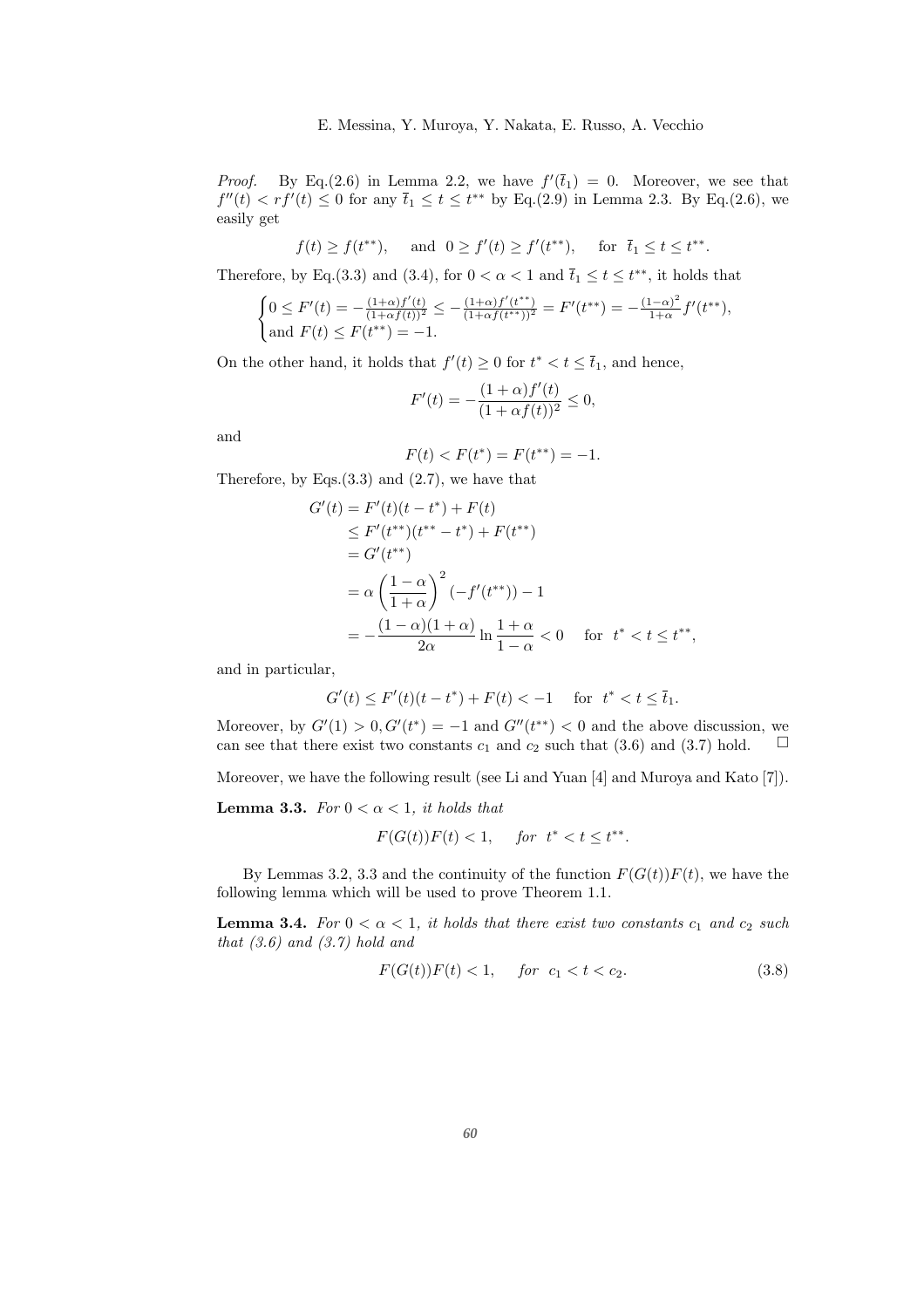*Proof.* By Eq.(2.6) in Lemma 2.2, we have  $f'(\bar{t}_1) = 0$ . Moreover, we see that  $f''(t) < rf'(t) \leq 0$  for any  $\bar{t}_1 \leq t \leq t^{**}$  by Eq.(2.9) in Lemma 2.3. By Eq.(2.6), we easily get

$$
f(t) \ge f(t^{**}),
$$
 and  $0 \ge f'(t) \ge f'(t^{**}),$  for  $\bar{t}_1 \le t \le t^{**}.$ 

Therefore, by Eq.(3.3) and (3.4), for  $0 < \alpha < 1$  and  $\bar{t}_1 \le t \le t^{**}$ , it holds that

$$
\begin{cases} 0 \le F'(t) = -\frac{(1+\alpha)f'(t)}{(1+\alpha f(t))^2} \le -\frac{(1+\alpha)f'(t^{**})}{(1+\alpha f(t^{**}))^2} = F'(t^{**}) = -\frac{(1-\alpha)^2}{1+\alpha}f'(t^{**}),\\ \text{and } F(t) \le F(t^{**}) = -1. \end{cases}
$$

On the other hand, it holds that  $f'(t) \geq 0$  for  $t^* < t \leq \overline{t}_1$ , and hence,

$$
F'(t) = -\frac{(1+\alpha)f'(t)}{(1+\alpha f(t))^2} \le 0,
$$

and

$$
F(t) < F(t^*) = F(t^{**}) = -1.
$$

Therefore, by Eqs. $(3.3)$  and  $(2.7)$ , we have that

$$
G'(t) = F'(t)(t - t^*) + F(t)
$$
  
\n
$$
\leq F'(t^{**})(t^{**} - t^*) + F(t^{**})
$$
  
\n
$$
= G'(t^{**})
$$
  
\n
$$
= \alpha \left(\frac{1 - \alpha}{1 + \alpha}\right)^2 (-f'(t^{**})) - 1
$$
  
\n
$$
= -\frac{(1 - \alpha)(1 + \alpha)}{2\alpha} \ln \frac{1 + \alpha}{1 - \alpha} < 0 \quad \text{for } t^* < t \leq t^{**},
$$

and in particular,

$$
G'(t) \le F'(t)(t - t^*) + F(t) < -1 \quad \text{for} \ \ t^* < t \le \bar{t}_1.
$$

Moreover, by  $G'(1) > 0, G'(t^*) = -1$  and  $G''(t^{**}) < 0$  and the above discussion, we can see that there exist two constants  $c_1$  and  $c_2$  such that (3.6) and (3.7) hold.  $\Box$ 

Moreover, we have the following result (see Li and Yuan [4] and Muroya and Kato [7]).

**Lemma 3.3.** *For*  $0 < \alpha < 1$ *, it holds that* 

$$
F(G(t))F(t) < 1, \quad \text{for } t^* < t \le t^{**}.
$$

By Lemmas 3.2, 3.3 and the continuity of the function  $F(G(t))F(t)$ , we have the following lemma which will be used to prove Theorem 1.1.

**Lemma 3.4.** *For*  $0 < \alpha < 1$ *, it holds that there exist two constants*  $c_1$  *and*  $c_2$  *such that (3.6) and (3.7) hold and*

$$
F(G(t))F(t) < 1, \quad \text{for} \quad c_1 < t < c_2. \tag{3.8}
$$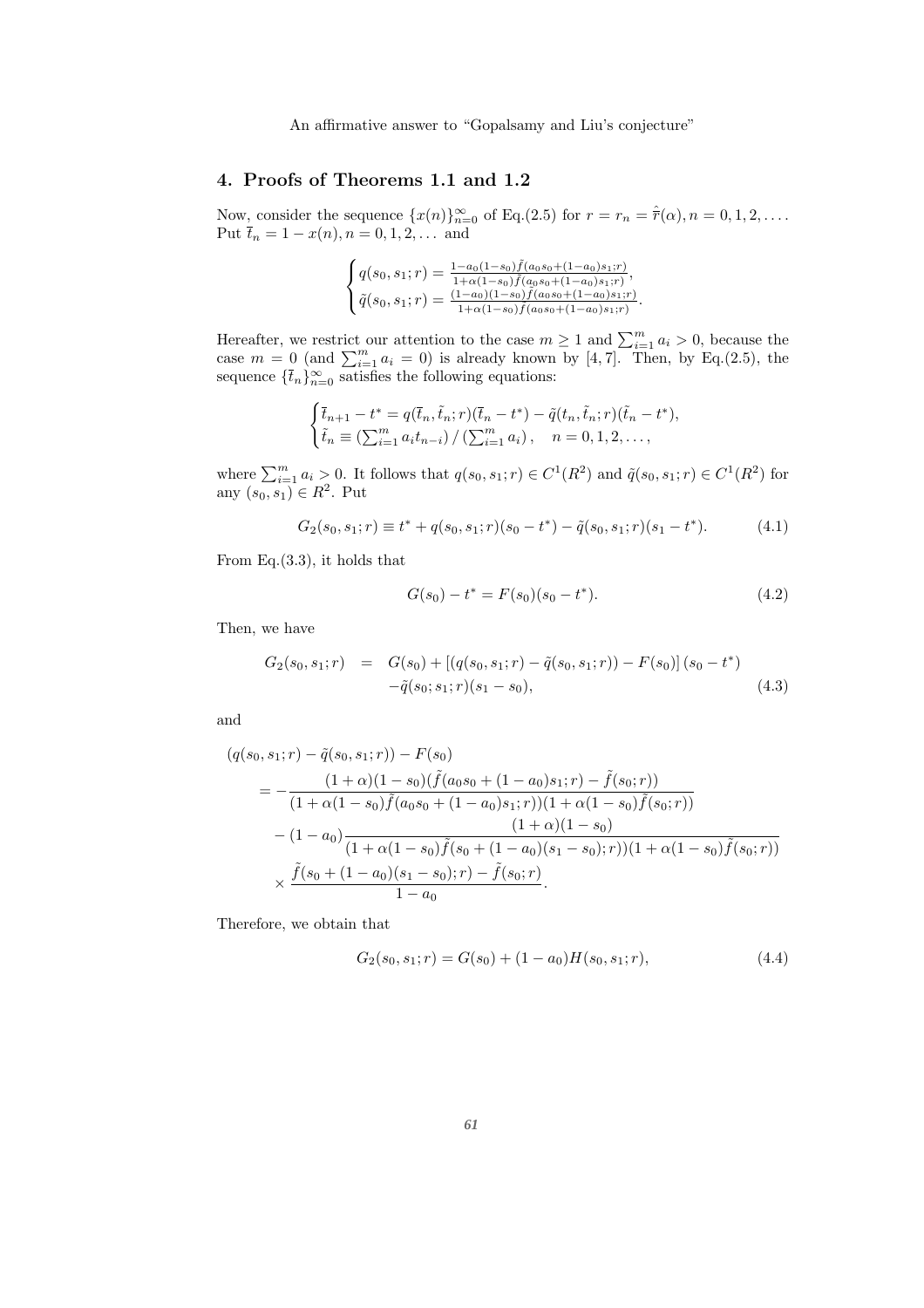# 4. Proofs of Theorems 1.1 and 1.2

Now, consider the sequence  $\{x(n)\}_{n=0}^{\infty}$  of Eq.(2.5) for  $r = r_n = \hat{r}(\alpha)$ ,  $n = 0, 1, 2, \ldots$ . Put  $\bar{t}_n = 1 - x(n)$ ,  $n = 0, 1, 2, \dots$  and

$$
\begin{cases} q(s_0, s_1; r) = \frac{1 - a_0 (1 - s_0) \tilde{f}(a_0 s_0 + (1 - a_0) s_1; r)}{1 + \alpha (1 - s_0) \tilde{f}(a_0 s_0 + (1 - a_0) s_1; r)}, \\ \tilde{q}(s_0, s_1; r) = \frac{(1 - a_0) (1 - s_0) \tilde{f}(a_0 s_0 + (1 - a_0) s_1; r)}{1 + \alpha (1 - s_0) \tilde{f}(a_0 s_0 + (1 - a_0) s_1; r)}.\end{cases}
$$

Hereafter, we restrict our attention to the case  $m \geq 1$  and  $\sum_{i=1}^{m} a_i > 0$ , because the case  $m = 0$  (and  $\sum_{i=1}^{m} a_i = 0$ ) is already known by [4, 7]. Then, by Eq.(2.5), the sequence  $\{\bar{t}_n\}_{n=0}^{\infty}$  satisfies the following equations:

$$
\begin{cases} \bar{t}_{n+1} - t^* = q(\bar{t}_n, \tilde{t}_n; r)(\bar{t}_n - t^*) - \tilde{q}(t_n, \tilde{t}_n; r)(\tilde{t}_n - t^*), \\ \tilde{t}_n \equiv (\sum_{i=1}^m a_i t_{n-i}) / (\sum_{i=1}^m a_i), \quad n = 0, 1, 2, \dots, \end{cases}
$$

where  $\sum_{i=1}^m a_i > 0$ . It follows that  $q(s_0, s_1; r) \in C^1(R^2)$  and  $\tilde{q}(s_0, s_1; r) \in C^1(R^2)$  for any  $(s_0, s_1) \in R^2$ . Put

$$
G_2(s_0, s_1; r) \equiv t^* + q(s_0, s_1; r)(s_0 - t^*) - \tilde{q}(s_0, s_1; r)(s_1 - t^*).
$$
 (4.1)

From Eq.(3.3), it holds that

$$
G(s_0) - t^* = F(s_0)(s_0 - t^*).
$$
\n(4.2)

Then, we have

$$
G_2(s_0, s_1; r) = G(s_0) + [(q(s_0, s_1; r) - \tilde{q}(s_0, s_1; r)) - F(s_0)](s_0 - t^*)
$$
  

$$
-\tilde{q}(s_0; s_1; r)(s_1 - s_0),
$$
 (4.3)

and

$$
(q(s_0, s_1; r) - \tilde{q}(s_0, s_1; r)) - F(s_0)
$$
  
= 
$$
-\frac{(1+\alpha)(1-s_0)(\tilde{f}(a_0s_0 + (1-a_0)s_1; r) - \tilde{f}(s_0; r))}{(1+\alpha(1-s_0)\tilde{f}(a_0s_0 + (1-a_0)s_1; r))(1+\alpha(1-s_0)\tilde{f}(s_0; r))}
$$
  
- 
$$
(1-a_0)\frac{(1+\alpha)(1-s_0)}{(1+\alpha(1-s_0)\tilde{f}(s_0 + (1-a_0)(s_1-s_0); r))(1+\alpha(1-s_0)\tilde{f}(s_0; r))}
$$
  

$$
\times \frac{\tilde{f}(s_0 + (1-a_0)(s_1 - s_0); r) - \tilde{f}(s_0; r)}{1-a_0}.
$$

Therefore, we obtain that

$$
G_2(s_0, s_1; r) = G(s_0) + (1 - a_0)H(s_0, s_1; r),
$$
\n(4.4)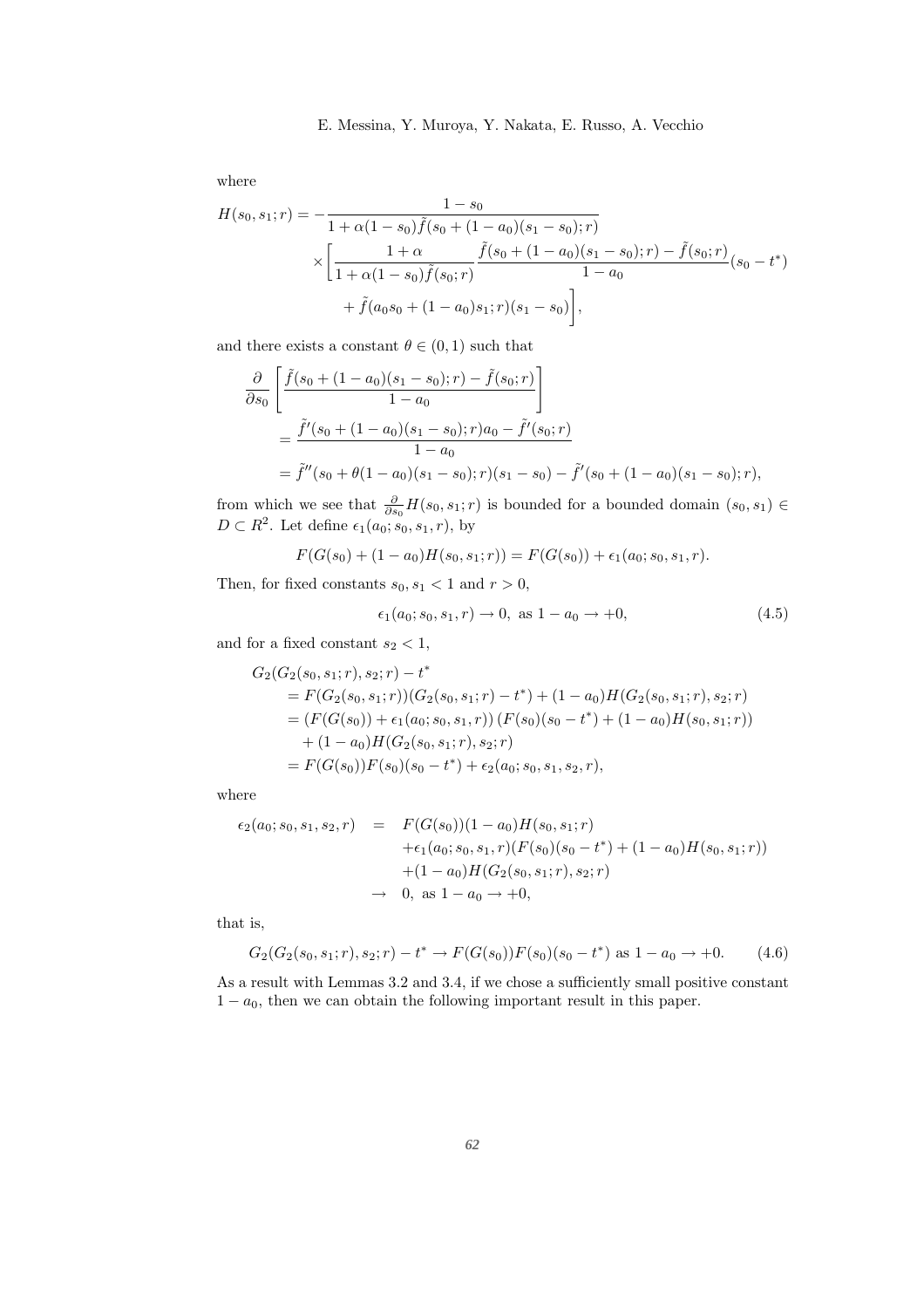#### 12 E. Messina, Y. Muroya, Y. Nakata, E. Russo, A. Vecchio

where

$$
H(s_0, s_1; r) = -\frac{1 - s_0}{1 + \alpha(1 - s_0)\tilde{f}(s_0 + (1 - a_0)(s_1 - s_0); r)} \times \left[ \frac{1 + \alpha}{1 + \alpha(1 - s_0)\tilde{f}(s_0; r)} \frac{\tilde{f}(s_0 + (1 - a_0)(s_1 - s_0); r) - \tilde{f}(s_0; r)}{1 - a_0} (s_0 - t^*) + \tilde{f}(a_0s_0 + (1 - a_0)s_1; r)(s_1 - s_0) \right],
$$

and there exists a constant  $\theta \in (0,1)$  such that

$$
\frac{\partial}{\partial s_0} \left[ \frac{\tilde{f}(s_0 + (1 - a_0)(s_1 - s_0); r) - \tilde{f}(s_0; r)}{1 - a_0} \right]
$$
\n
$$
= \frac{\tilde{f}'(s_0 + (1 - a_0)(s_1 - s_0); r) a_0 - \tilde{f}'(s_0; r)}{1 - a_0}
$$
\n
$$
= \tilde{f}''(s_0 + \theta(1 - a_0)(s_1 - s_0); r)(s_1 - s_0) - \tilde{f}'(s_0 + (1 - a_0)(s_1 - s_0); r),
$$

from which we see that  $\frac{\partial}{\partial s_0}H(s_0, s_1; r)$  is bounded for a bounded domain  $(s_0, s_1) \in$  $D \subset R^2$ . Let define  $\epsilon_1(a_0; s_0, s_1, r)$ , by

$$
F(G(s_0) + (1 - a_0)H(s_0, s_1; r)) = F(G(s_0)) + \epsilon_1(a_0; s_0, s_1, r).
$$

Then, for fixed constants  $s_0, s_1 < 1$  and  $r > 0$ ,

$$
\epsilon_1(a_0; s_0, s_1, r) \to 0, \text{ as } 1 - a_0 \to +0,
$$
\n(4.5)

and for a fixed constant  $s_2 < 1$ ,

$$
G_2(G_2(s_0, s_1; r), s_2; r) - t^*
$$
  
=  $F(G_2(s_0, s_1; r))(G_2(s_0, s_1; r) - t^*) + (1 - a_0)H(G_2(s_0, s_1; r), s_2; r)$   
=  $(F(G(s_0)) + \epsilon_1(a_0; s_0, s_1, r))(F(s_0)(s_0 - t^*) + (1 - a_0)H(s_0, s_1; r))$   
+  $(1 - a_0)H(G_2(s_0, s_1; r), s_2; r)$   
=  $F(G(s_0))F(s_0)(s_0 - t^*) + \epsilon_2(a_0; s_0, s_1, s_2, r),$ 

where

$$
\epsilon_2(a_0; s_0, s_1, s_2, r) = F(G(s_0))(1 - a_0)H(s_0, s_1; r)
$$
  
+ 
$$
\epsilon_1(a_0; s_0, s_1, r)(F(s_0)(s_0 - t^*) + (1 - a_0)H(s_0, s_1; r))
$$
  
+ 
$$
(1 - a_0)H(G_2(s_0, s_1; r), s_2; r)
$$
  

$$
\rightarrow 0, \text{ as } 1 - a_0 \rightarrow +0,
$$

that is,

$$
G_2(G_2(s_0, s_1; r), s_2; r) - t^* \to F(G(s_0))F(s_0)(s_0 - t^*) \text{ as } 1 - a_0 \to +0. \tag{4.6}
$$

As a result with Lemmas 3.2 and 3.4, if we chose a sufficiently small positive constant  $1 - a_0$ , then we can obtain the following important result in this paper.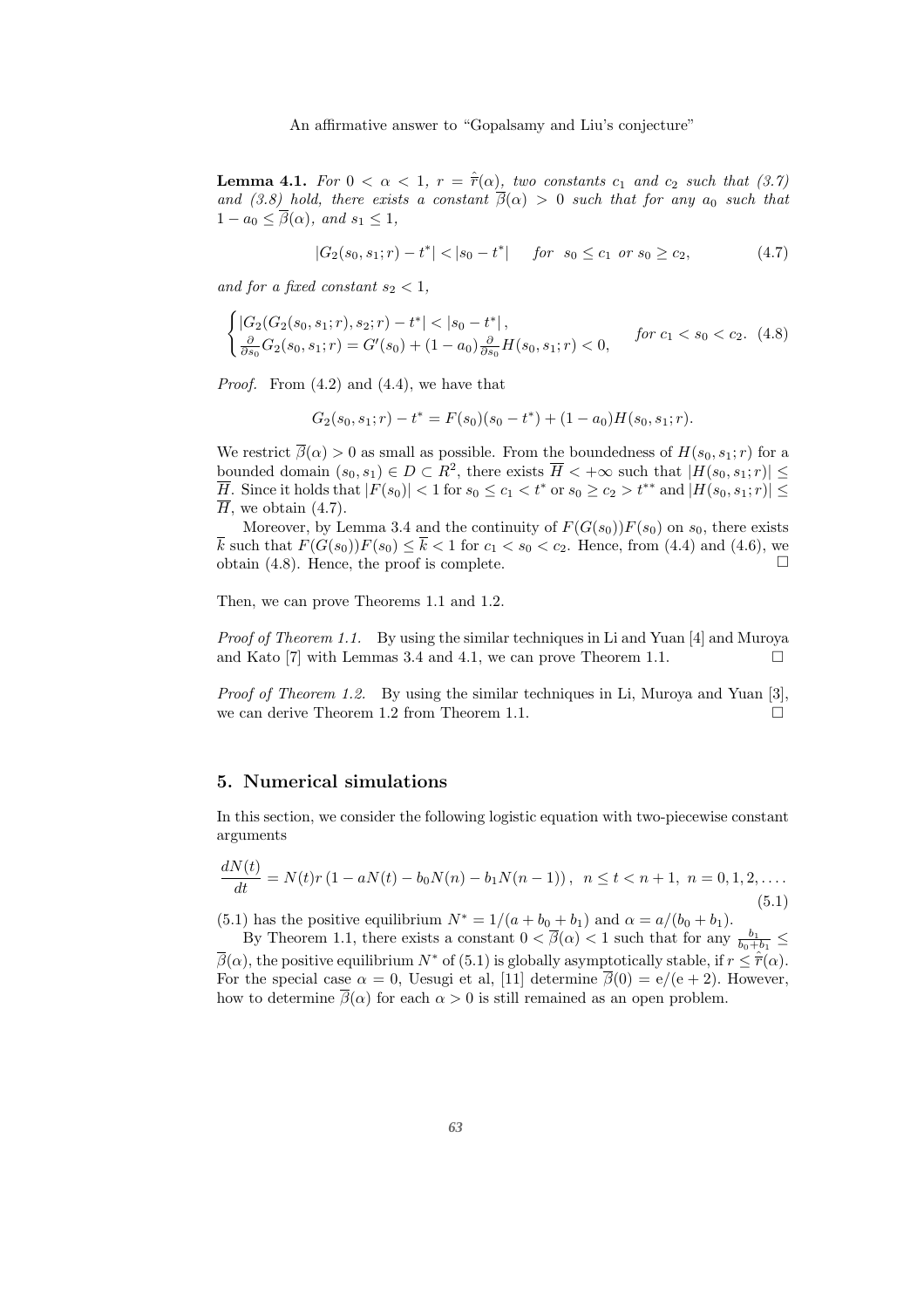**Lemma 4.1.** For  $0 < \alpha < 1$ ,  $r = \hat{r}(\alpha)$ , two constants  $c_1$  and  $c_2$  such that (3.7) *and (3.8) hold, there exists a constant*  $\frac{1}{\beta}(\alpha) > 0$  *such that for any*  $a_0$  *such that*  $1 - a_0 \leq \overline{\beta}(\alpha)$ *, and*  $s_1 \leq 1$ *,* 

$$
|G_2(s_0, s_1; r) - t^*| < |s_0 - t^*| \quad \text{for} \quad s_0 \le c_1 \quad \text{or} \quad s_0 \ge c_2,\tag{4.7}
$$

*and for a fixed constant*  $s_2 < 1$ ,

$$
\begin{cases} |G_2(G_2(s_0, s_1; r), s_2; r) - t^*| < |s_0 - t^*|, \\ \frac{\partial}{\partial s_0} G_2(s_0, s_1; r) = G'(s_0) + (1 - a_0) \frac{\partial}{\partial s_0} H(s_0, s_1; r) < 0, \end{cases} \quad \text{for } c_1 < s_0 < c_2. \tag{4.8}
$$

*Proof.* From (4.2) and (4.4), we have that

$$
G_2(s_0, s_1; r) - t^* = F(s_0)(s_0 - t^*) + (1 - a_0)H(s_0, s_1; r).
$$

We restrict  $\overline{\beta}(\alpha) > 0$  as small as possible. From the boundedness of  $H(s_0, s_1; r)$  for a bounded domain  $(s_0, s_1) \in D \subset \mathbb{R}^2$ , there exists  $\overline{H} < +\infty$  such that  $|H(s_0, s_1; r)| \leq$  $\overline{H}$ . Since it holds that  $|F(s_0)| < 1$  for  $s_0 \leq c_1 < t^*$  or  $s_0 \geq c_2 > t^{**}$  and  $|H(s_0, s_1; r)| \leq$  $\overline{H}$ , we obtain (4.7).

Moreover, by Lemma 3.4 and the continuity of  $F(G(s_0))F(s_0)$  on  $s_0$ , there exists  $\overline{k}$  such that  $F(G(s_0))F(s_0) \leq \overline{k} < 1$  for  $c_1 < s_0 < c_2$ . Hence, from (4.4) and (4.6), we obtain (4.8). Hence, the proof is complete.  $\Box$ 

Then, we can prove Theorems 1.1 and 1.2.

*Proof of Theorem 1.1.* By using the similar techniques in Li and Yuan [4] and Muroya and Kato [7] with Lemmas 3.4 and 4.1, we can prove Theorem 1.1.  $\Box$ 

*Proof of Theorem 1.2.* By using the similar techniques in Li, Muroya and Yuan [3], we can derive Theorem 1.2 from Theorem 1.1.

#### 5. Numerical simulations

In this section, we consider the following logistic equation with two-piecewise constant arguments

$$
\frac{dN(t)}{dt} = N(t)r(1 - aN(t) - b_0N(n) - b_1N(n-1)), \quad n \le t < n+1, \quad n = 0, 1, 2, \dots
$$
\n(5.1)

(5.1) has the positive equilibrium  $N^* = 1/(a + b_0 + b_1)$  and  $\alpha = a/(b_0 + b_1)$ .

By Theorem 1.1, there exists a constant  $0 < \overline{\beta}(\alpha) < 1$  such that for any  $\frac{b_1}{b_0+b_1} \le$  $\overline{\beta}(\alpha)$ , the positive equilibrium  $N^*$  of (5.1) is globally asymptotically stable, if  $r \leq \hat{r}(\alpha)$ . For the special case  $\alpha = 0$ , Uesugi et al, [11] determine  $\overline{\beta}(0) = e/(e+2)$ . However, how to determine  $\overline{\beta}(\alpha)$  for each  $\alpha > 0$  is still remained as an open problem.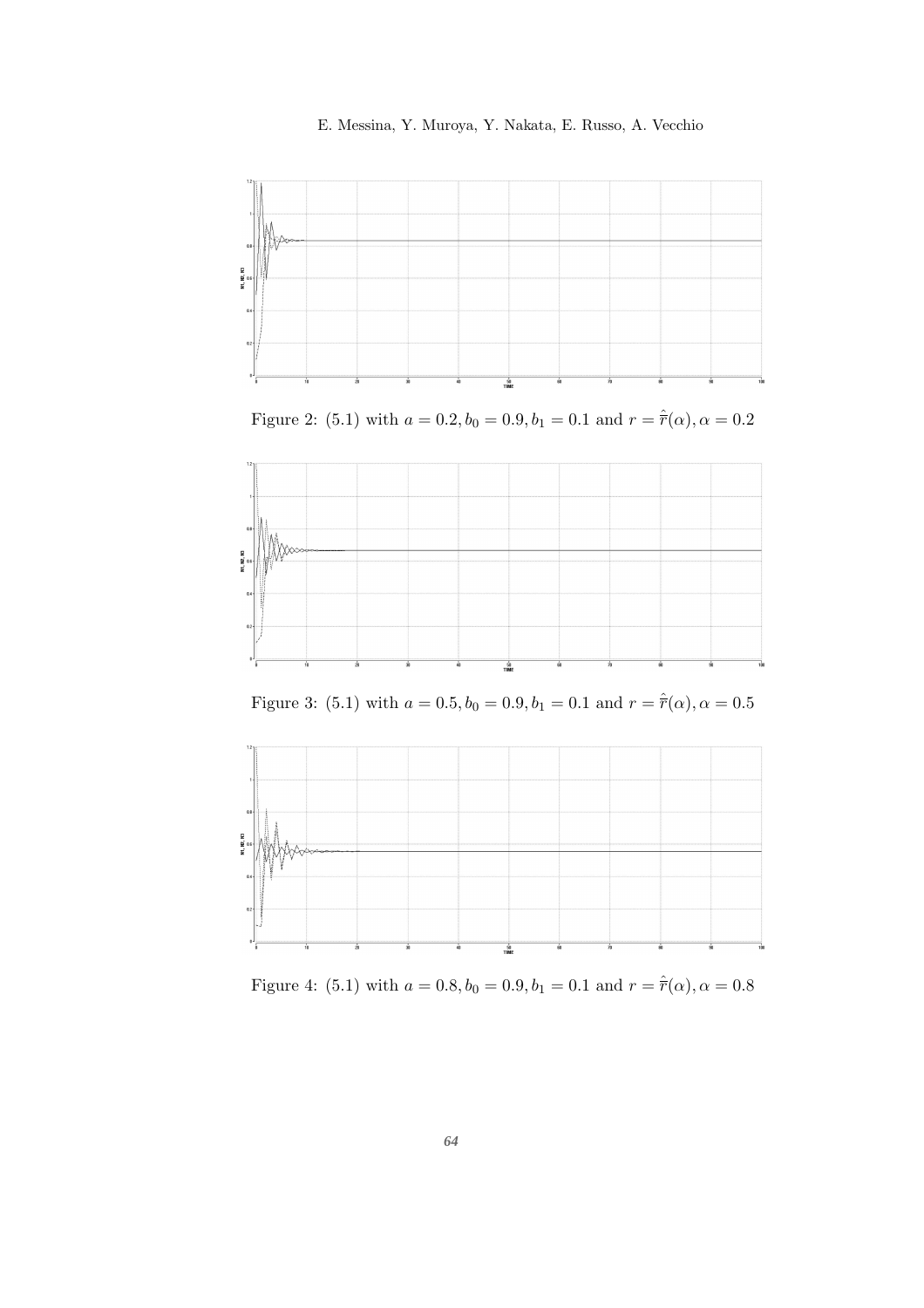



Figure 2: (5.1) with  $a = 0.2, b_0 = 0.9, b_1 = 0.1$  and  $r = \hat{r}(\alpha), \alpha = 0.2$ 



Figure 3: (5.1) with  $a = 0.5, b_0 = 0.9, b_1 = 0.1$  and  $r = \hat{r}(\alpha), \alpha = 0.5$ 



Figure 4: (5.1) with  $a = 0.8, b_0 = 0.9, b_1 = 0.1$  and  $r = \hat{r}(\alpha), \alpha = 0.8$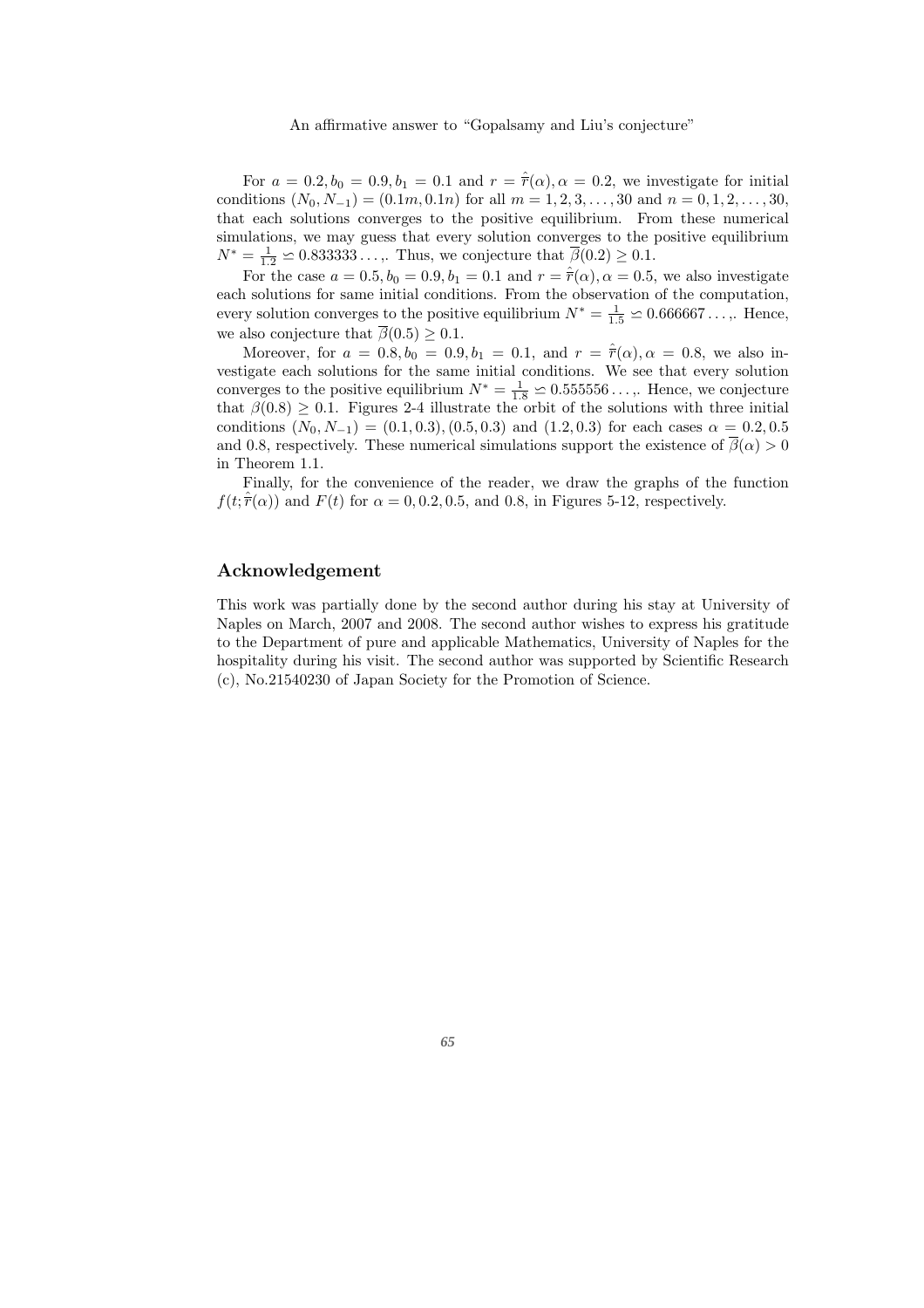For  $a = 0.2, b_0 = 0.9, b_1 = 0.1$  and  $r = \hat{r}(\alpha), \alpha = 0.2$ , we investigate for initial conditions  $(N_0, N_{-1}) = (0.1m, 0.1n)$  for all  $m = 1, 2, 3, \ldots, 30$  and  $n = 0, 1, 2, \ldots, 30$ , that each solutions converges to the positive equilibrium. From these numerical simulations, we may guess that every solution converges to the positive equilibrium  $N^* = \frac{1}{1.2} \approx 0.833333\ldots$ , Thus, we conjecture that  $\overline{\beta}(0.2) \geq 0.1$ .

For the case  $a = 0.5, b_0 = 0.9, b_1 = 0.1$  and  $r = \hat{r}(\alpha), \alpha = 0.5$ , we also investigate each solutions for same initial conditions. From the observation of the computation, every solution converges to the positive equilibrium  $N^* = \frac{1}{1.5} \approx 0.666667...$ ,. Hence, we also conjecture that  $\overline{\beta}(0.5) \geq 0.1$ .

Moreover, for  $a = 0.8, b_0 = 0.9, b_1 = 0.1$ , and  $r = \hat{r}(\alpha), \alpha = 0.8$ , we also investigate each solutions for the same initial conditions. We see that every solution converges to the positive equilibrium  $N^* = \frac{1}{1.8} \approx 0.555556...$ , Hence, we conjecture that  $\beta(0.8) \geq 0.1$ . Figures 2-4 illustrate the orbit of the solutions with three initial conditions  $(N_0, N_{-1}) = (0.1, 0.3), (0.5, 0.3)$  and  $(1.2, 0.3)$  for each cases  $\alpha = 0.2, 0.5$ and 0.8, respectively. These numerical simulations support the existence of  $\overline{\beta}(\alpha) > 0$ in Theorem 1.1.

Finally, for the convenience of the reader, we draw the graphs of the function  $f(t; \hat{r}(\alpha))$  and  $F(t)$  for  $\alpha = 0, 0.2, 0.5$ , and 0.8, in Figures 5-12, respectively.

### Acknowledgement

This work was partially done by the second author during his stay at University of Naples on March, 2007 and 2008. The second author wishes to express his gratitude to the Department of pure and applicable Mathematics, University of Naples for the hospitality during his visit. The second author was supported by Scientific Research (c), No.21540230 of Japan Society for the Promotion of Science.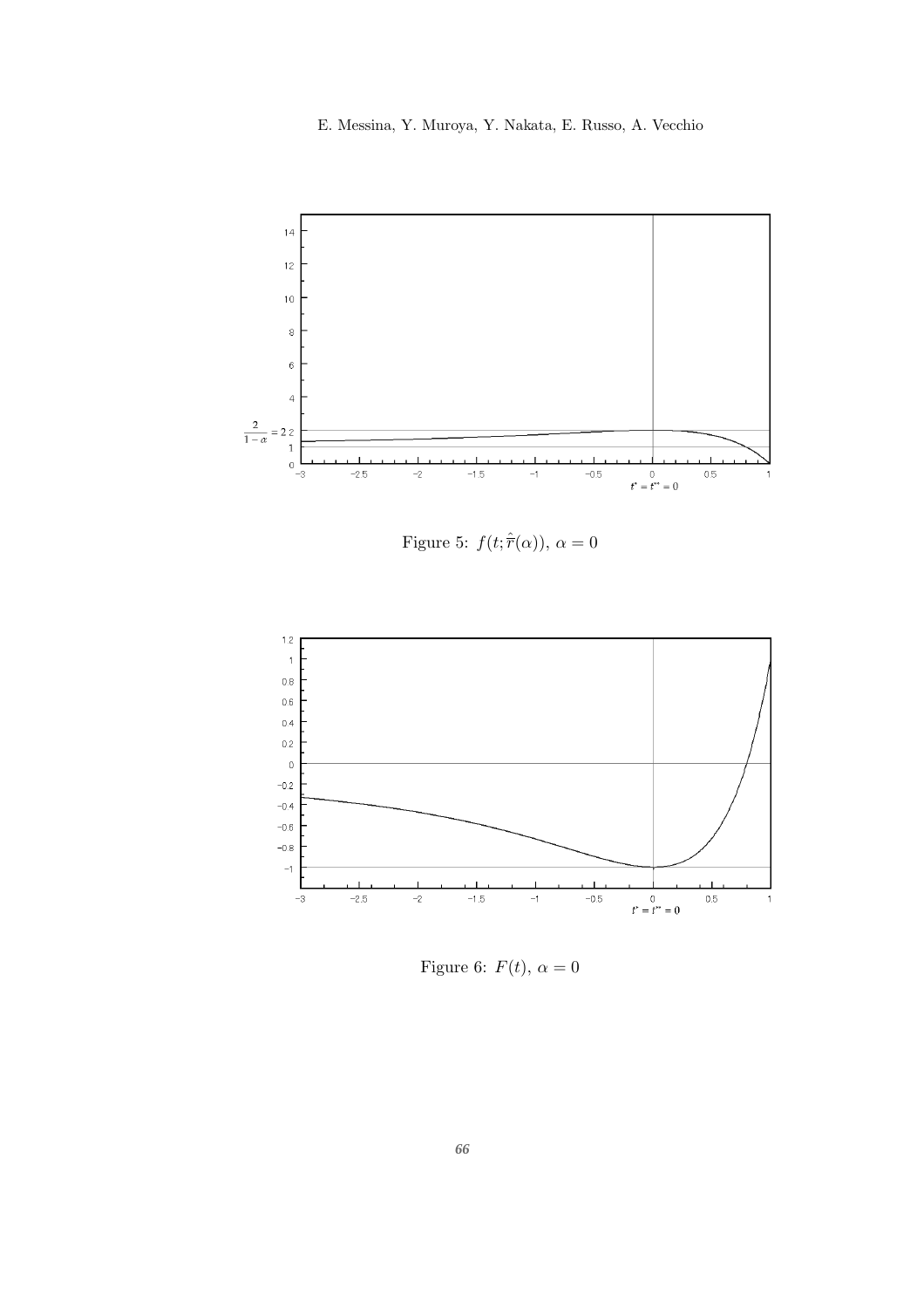16 E. Messina, Y. Muroya, Y. Nakata, E. Russo, A. Vecchio



Figure 5:  $f(t; \hat{r}(\alpha))$ ,  $\alpha = 0$ 



Figure 6:  $F(t)$ ,  $\alpha = 0$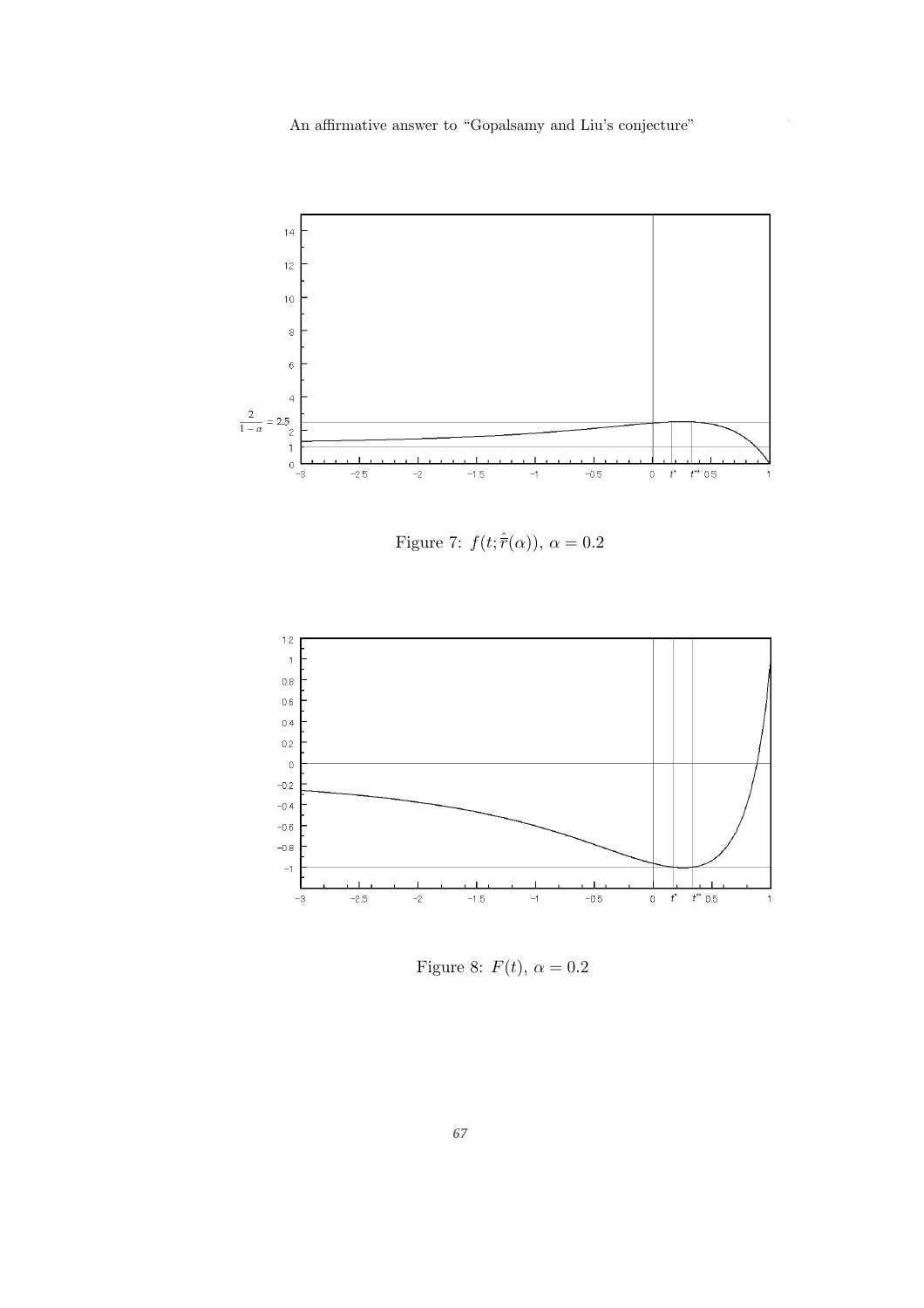

Figure 7:  $f(t; \hat{r}(\alpha))$ ,  $\alpha = 0.2$ 



Figure 8:  $F(t)$ ,  $\alpha = 0.2$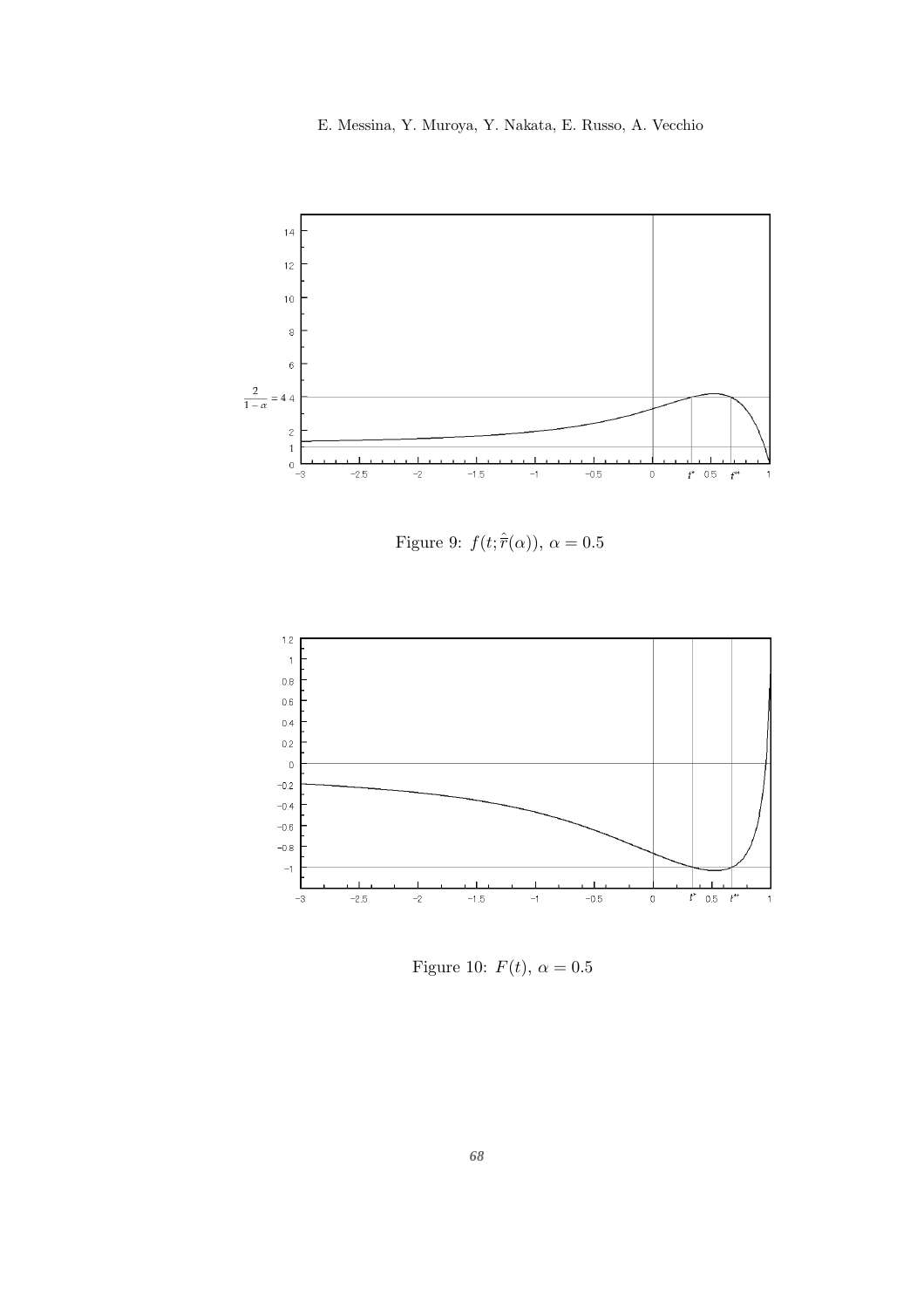18 E. Messina, Y. Muroya, Y. Nakata, E. Russo, A. Vecchio



Figure 9:  $f(t; \hat{r}(\alpha))$ ,  $\alpha = 0.5$ 



Figure 10:  $F(t)$ ,  $\alpha = 0.5$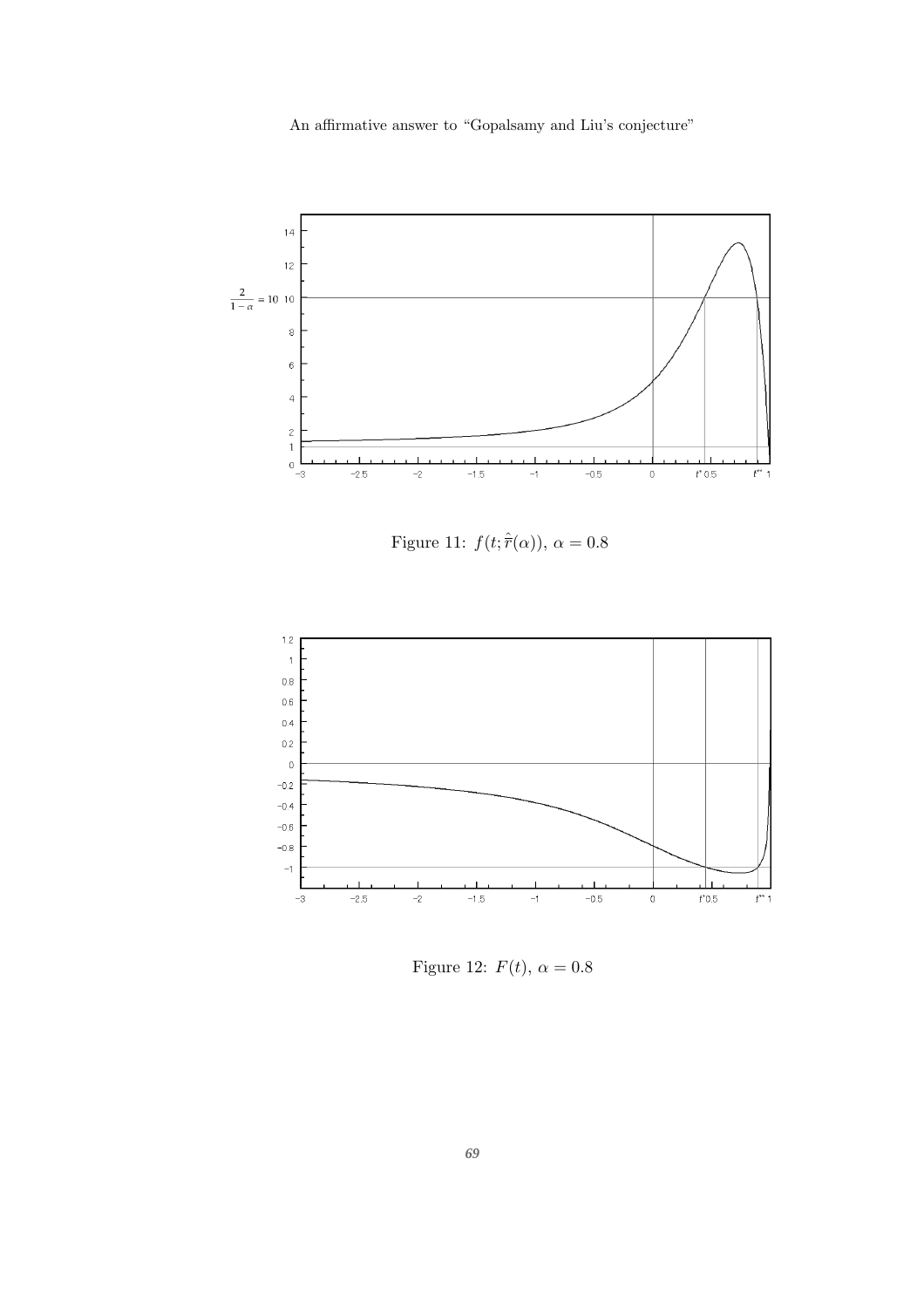An affirmative answer to "Gopalsamy and Liu's conjecture"



Figure 11:  $f(t; \hat{r}(\alpha))$ ,  $\alpha = 0.8$ 



Figure 12:  $F(t)$ ,  $\alpha = 0.8$